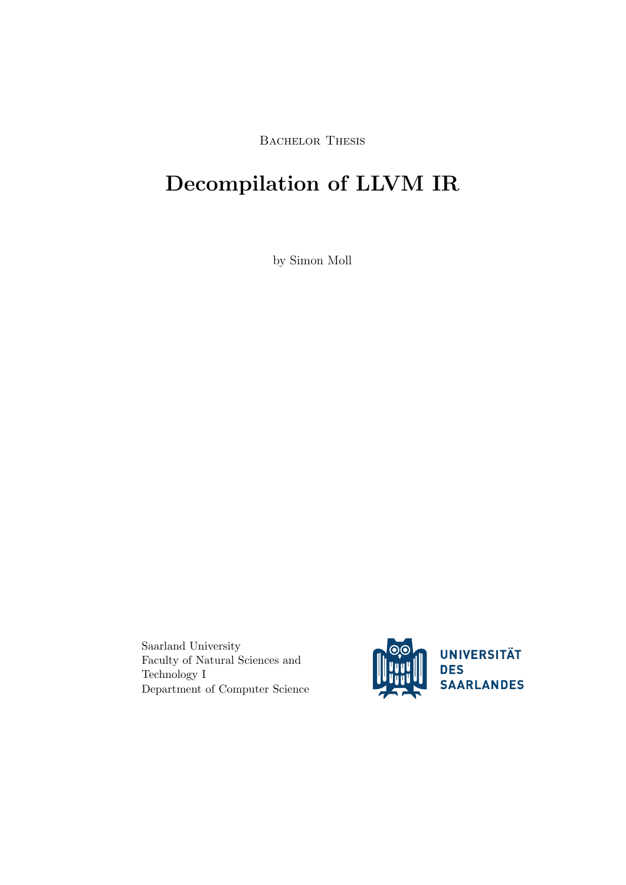BACHELOR THESIS

# Decompilation of LLVM IR

by Simon Moll

Saarland University Faculty of Natural Sciences and Technology I Department of Computer Science

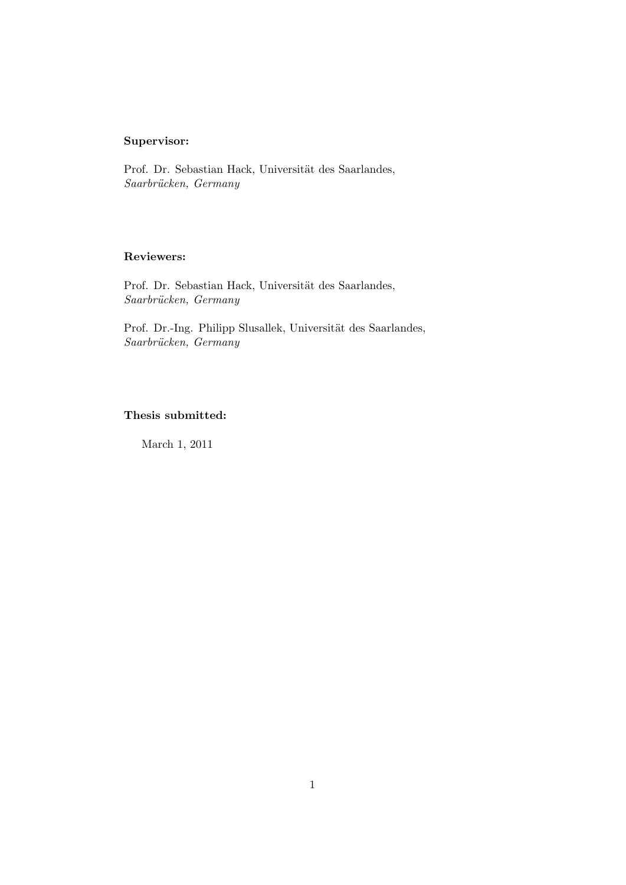## Supervisor:

Prof. Dr. Sebastian Hack, Universität des Saarlandes, Saarbrücken, Germany

## Reviewers:

Prof. Dr. Sebastian Hack, Universität des Saarlandes, Saarbrücken, Germany

Prof. Dr.-Ing. Philipp Slusallek, Universität des Saarlandes, Saarbrücken, Germany

## Thesis submitted:

March 1, 2011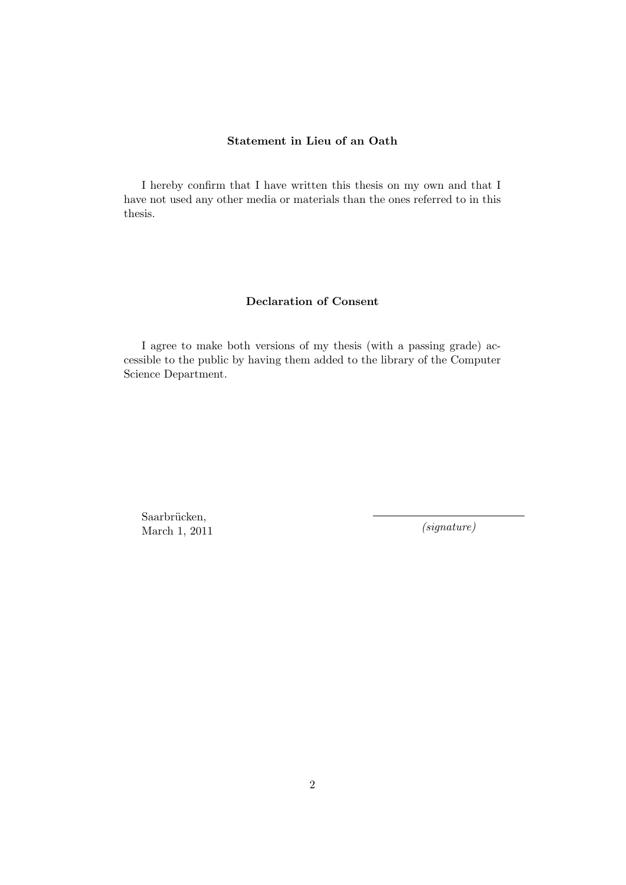## Statement in Lieu of an Oath

I hereby confirm that I have written this thesis on my own and that I have not used any other media or materials than the ones referred to in this thesis.

## Declaration of Consent

I agree to make both versions of my thesis (with a passing grade) accessible to the public by having them added to the library of the Computer Science Department.

Saarbrücken, March 1, 2011  $(signature)$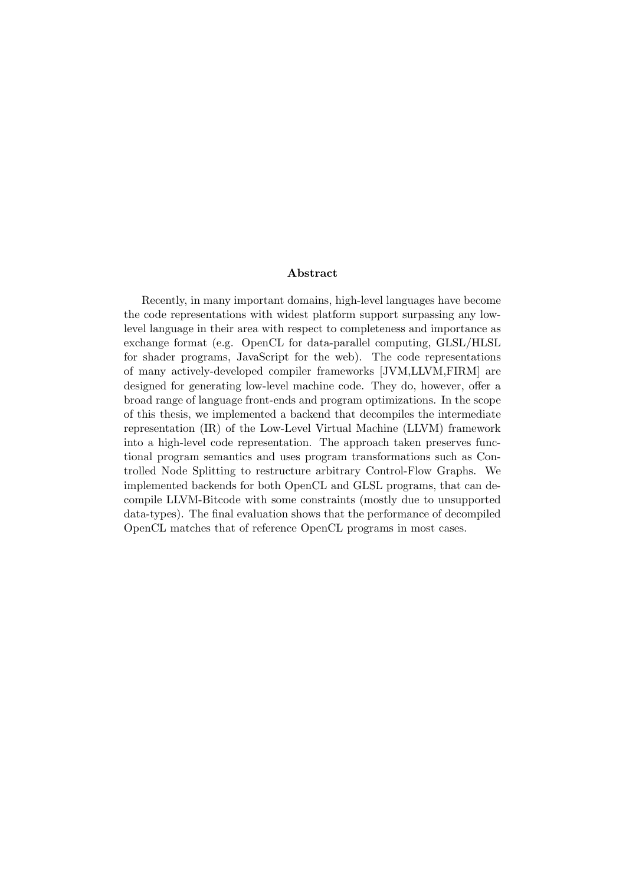#### Abstract

Recently, in many important domains, high-level languages have become the code representations with widest platform support surpassing any lowlevel language in their area with respect to completeness and importance as exchange format (e.g. OpenCL for data-parallel computing, GLSL/HLSL for shader programs, JavaScript for the web). The code representations of many actively-developed compiler frameworks [JVM,LLVM,FIRM] are designed for generating low-level machine code. They do, however, offer a broad range of language front-ends and program optimizations. In the scope of this thesis, we implemented a backend that decompiles the intermediate representation (IR) of the Low-Level Virtual Machine (LLVM) framework into a high-level code representation. The approach taken preserves functional program semantics and uses program transformations such as Controlled Node Splitting to restructure arbitrary Control-Flow Graphs. We implemented backends for both OpenCL and GLSL programs, that can decompile LLVM-Bitcode with some constraints (mostly due to unsupported data-types). The final evaluation shows that the performance of decompiled OpenCL matches that of reference OpenCL programs in most cases.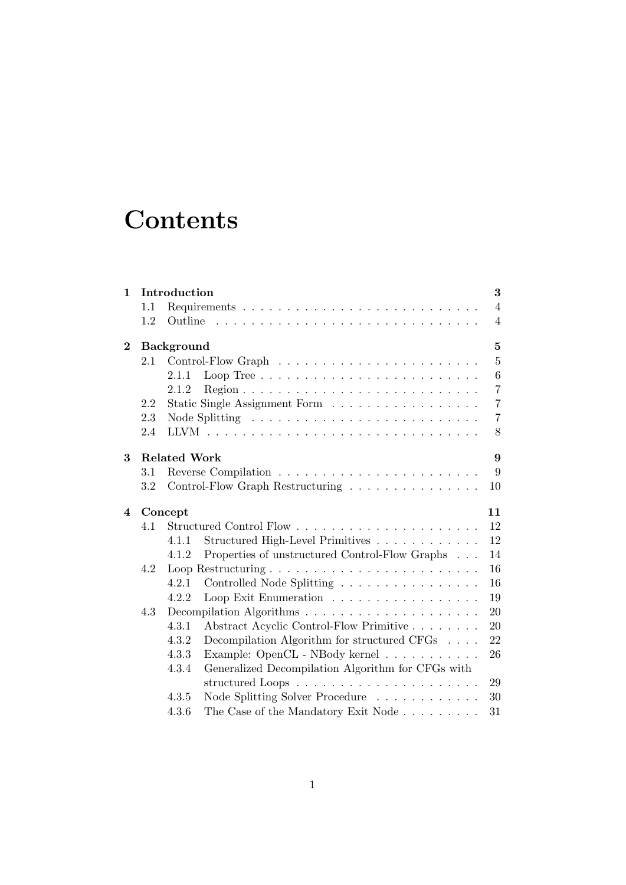# **Contents**

| $\mathbf{1}$   |     | Introduction                                                                        | 3              |  |  |  |  |  |
|----------------|-----|-------------------------------------------------------------------------------------|----------------|--|--|--|--|--|
|                | 1.1 |                                                                                     | $\overline{4}$ |  |  |  |  |  |
|                | 1.2 |                                                                                     | $\overline{4}$ |  |  |  |  |  |
| $\bf{2}$       |     | <b>Background</b>                                                                   | $\mathbf{5}$   |  |  |  |  |  |
|                | 2.1 |                                                                                     | $\overline{5}$ |  |  |  |  |  |
|                |     | Loop Tree $\ldots \ldots \ldots \ldots \ldots \ldots \ldots \ldots \ldots$<br>2.1.1 | 6              |  |  |  |  |  |
|                |     | 2.1.2                                                                               | $\overline{7}$ |  |  |  |  |  |
|                | 2.2 | Static Single Assignment Form                                                       | $\overline{7}$ |  |  |  |  |  |
|                | 2.3 |                                                                                     | $\overline{7}$ |  |  |  |  |  |
|                | 2.4 |                                                                                     | 8              |  |  |  |  |  |
| 3              |     | <b>Related Work</b><br>9                                                            |                |  |  |  |  |  |
|                | 3.1 |                                                                                     | 9              |  |  |  |  |  |
|                | 3.2 | Control-Flow Graph Restructuring $\ldots \ldots \ldots \ldots \ldots$<br>10         |                |  |  |  |  |  |
| $\overline{4}$ |     | Concept<br>11                                                                       |                |  |  |  |  |  |
|                | 4.1 | 12                                                                                  |                |  |  |  |  |  |
|                |     | Structured High-Level Primitives<br>12<br>4.1.1                                     |                |  |  |  |  |  |
|                |     | Properties of unstructured Control-Flow Graphs<br>14<br>4.1.2                       |                |  |  |  |  |  |
|                | 4.2 | 16                                                                                  |                |  |  |  |  |  |
|                |     | 4.2.1<br>Controlled Node Splitting<br>16                                            |                |  |  |  |  |  |
|                |     | Loop Exit Enumeration<br>19<br>4.2.2                                                |                |  |  |  |  |  |
|                | 4.3 | 20                                                                                  |                |  |  |  |  |  |
|                |     | 4.3.1<br>Abstract Acyclic Control-Flow Primitive<br>20                              |                |  |  |  |  |  |
|                |     | Decompilation Algorithm for structured CFGs<br>4.3.2<br>22                          |                |  |  |  |  |  |
|                |     | 26<br>4.3.3                                                                         |                |  |  |  |  |  |
|                |     | Generalized Decompilation Algorithm for CFGs with<br>4.3.4                          |                |  |  |  |  |  |
|                |     | structured Loops<br>29                                                              |                |  |  |  |  |  |
|                |     | Node Splitting Solver Procedure<br>4.3.5<br>30                                      |                |  |  |  |  |  |
|                |     | The Case of the Mandatory Exit Node<br>31<br>4.3.6                                  |                |  |  |  |  |  |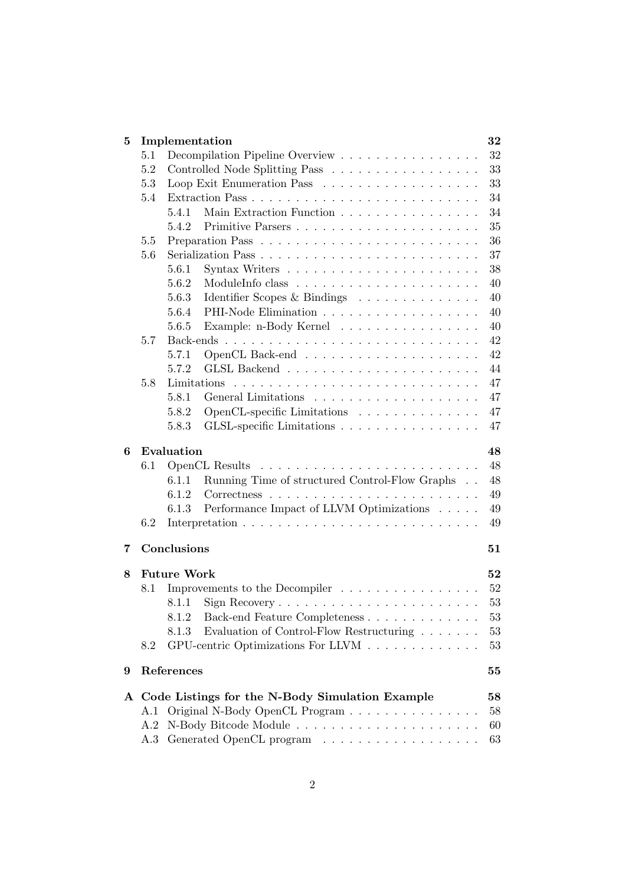| 5.1<br>Controlled Node Splitting Pass<br>5.2<br>Loop Exit Enumeration Pass<br>5.3<br>5.4<br>Main Extraction Function<br>5.4.1<br>5.4.2<br>Primitive Parsers<br>5.5<br>5.6<br>5.6.1<br>5.6.2<br>Identifier Scopes & Bindings<br>5.6.3<br>5.6.4<br>5.6.5<br>Example: n-Body Kernel<br>Back-ends<br>5.7<br>5.7.1<br>5.7.2<br>5.8<br>Limitations<br>5.8.1<br>OpenCL-specific Limitations<br>5.8.2<br>5.8.3<br>GLSL-specific Limitations<br>Evaluation<br>6 | 32     |
|--------------------------------------------------------------------------------------------------------------------------------------------------------------------------------------------------------------------------------------------------------------------------------------------------------------------------------------------------------------------------------------------------------------------------------------------------------|--------|
|                                                                                                                                                                                                                                                                                                                                                                                                                                                        |        |
|                                                                                                                                                                                                                                                                                                                                                                                                                                                        | 33     |
|                                                                                                                                                                                                                                                                                                                                                                                                                                                        | 33     |
|                                                                                                                                                                                                                                                                                                                                                                                                                                                        | 34     |
|                                                                                                                                                                                                                                                                                                                                                                                                                                                        | 34     |
|                                                                                                                                                                                                                                                                                                                                                                                                                                                        | 35     |
|                                                                                                                                                                                                                                                                                                                                                                                                                                                        | 36     |
|                                                                                                                                                                                                                                                                                                                                                                                                                                                        | 37     |
|                                                                                                                                                                                                                                                                                                                                                                                                                                                        | 38     |
|                                                                                                                                                                                                                                                                                                                                                                                                                                                        | 40     |
|                                                                                                                                                                                                                                                                                                                                                                                                                                                        | 40     |
|                                                                                                                                                                                                                                                                                                                                                                                                                                                        | 40     |
|                                                                                                                                                                                                                                                                                                                                                                                                                                                        | 40     |
|                                                                                                                                                                                                                                                                                                                                                                                                                                                        | 42     |
|                                                                                                                                                                                                                                                                                                                                                                                                                                                        | 42     |
|                                                                                                                                                                                                                                                                                                                                                                                                                                                        | 44     |
|                                                                                                                                                                                                                                                                                                                                                                                                                                                        | 47     |
|                                                                                                                                                                                                                                                                                                                                                                                                                                                        | 47     |
|                                                                                                                                                                                                                                                                                                                                                                                                                                                        | 47     |
|                                                                                                                                                                                                                                                                                                                                                                                                                                                        | 47     |
|                                                                                                                                                                                                                                                                                                                                                                                                                                                        | 48     |
| 6.1<br>OpenCL Results                                                                                                                                                                                                                                                                                                                                                                                                                                  | 48     |
| Running Time of structured Control-Flow Graphs<br>6.1.1                                                                                                                                                                                                                                                                                                                                                                                                | 48     |
| 6.1.2                                                                                                                                                                                                                                                                                                                                                                                                                                                  | 49     |
| Performance Impact of LLVM Optimizations<br>6.1.3                                                                                                                                                                                                                                                                                                                                                                                                      | $49\,$ |
| 6.2                                                                                                                                                                                                                                                                                                                                                                                                                                                    | 49     |
| Conclusions<br>7                                                                                                                                                                                                                                                                                                                                                                                                                                       | 51     |
|                                                                                                                                                                                                                                                                                                                                                                                                                                                        |        |
| <b>Future Work</b><br>8                                                                                                                                                                                                                                                                                                                                                                                                                                | 52     |
| Improvements to the Decompiler<br>8.1                                                                                                                                                                                                                                                                                                                                                                                                                  | 52     |
| 8.1.1                                                                                                                                                                                                                                                                                                                                                                                                                                                  | 53     |
| Back-end Feature Completeness<br>8.1.2                                                                                                                                                                                                                                                                                                                                                                                                                 | 53     |
| Evaluation of Control-Flow Restructuring<br>8.1.3                                                                                                                                                                                                                                                                                                                                                                                                      | 53     |
| GPU-centric Optimizations For LLVM<br>8.2                                                                                                                                                                                                                                                                                                                                                                                                              | 53     |
| References<br>9                                                                                                                                                                                                                                                                                                                                                                                                                                        | 55     |
| A Code Listings for the N-Body Simulation Example                                                                                                                                                                                                                                                                                                                                                                                                      | 58     |
| Original N-Body OpenCL Program<br>A.1                                                                                                                                                                                                                                                                                                                                                                                                                  | 58     |
| A.2                                                                                                                                                                                                                                                                                                                                                                                                                                                    | 60     |
| Generated OpenCL program $\hfill\ldots\ldots\ldots\ldots\ldots\ldots\ldots\ldots\ldots$<br>63<br>A.3                                                                                                                                                                                                                                                                                                                                                   |        |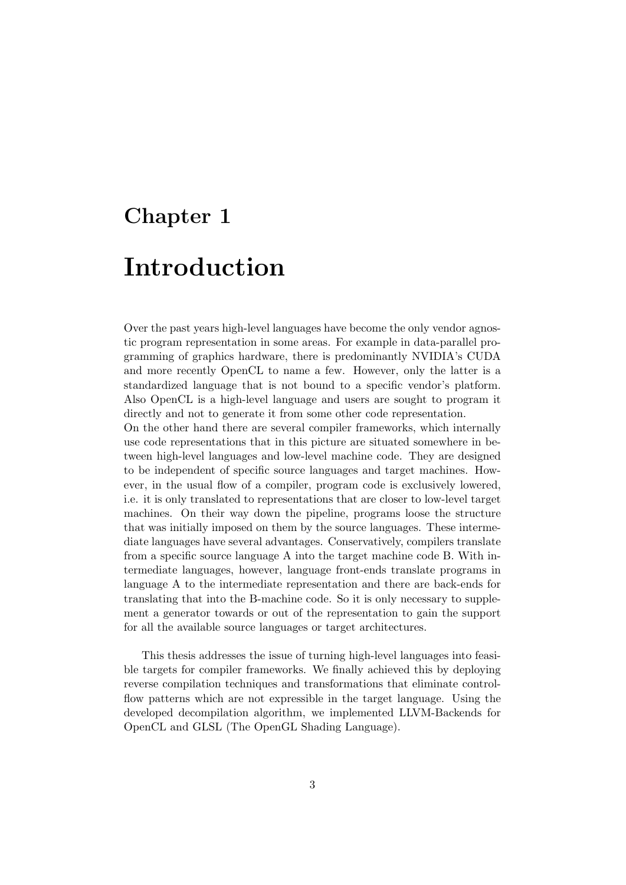## Chapter 1

## Introduction

Over the past years high-level languages have become the only vendor agnostic program representation in some areas. For example in data-parallel programming of graphics hardware, there is predominantly NVIDIA's CUDA and more recently OpenCL to name a few. However, only the latter is a standardized language that is not bound to a specific vendor's platform. Also OpenCL is a high-level language and users are sought to program it directly and not to generate it from some other code representation.

On the other hand there are several compiler frameworks, which internally use code representations that in this picture are situated somewhere in between high-level languages and low-level machine code. They are designed to be independent of specific source languages and target machines. However, in the usual flow of a compiler, program code is exclusively lowered, i.e. it is only translated to representations that are closer to low-level target machines. On their way down the pipeline, programs loose the structure that was initially imposed on them by the source languages. These intermediate languages have several advantages. Conservatively, compilers translate from a specific source language A into the target machine code B. With intermediate languages, however, language front-ends translate programs in language A to the intermediate representation and there are back-ends for translating that into the B-machine code. So it is only necessary to supplement a generator towards or out of the representation to gain the support for all the available source languages or target architectures.

This thesis addresses the issue of turning high-level languages into feasible targets for compiler frameworks. We finally achieved this by deploying reverse compilation techniques and transformations that eliminate controlflow patterns which are not expressible in the target language. Using the developed decompilation algorithm, we implemented LLVM-Backends for OpenCL and GLSL (The OpenGL Shading Language).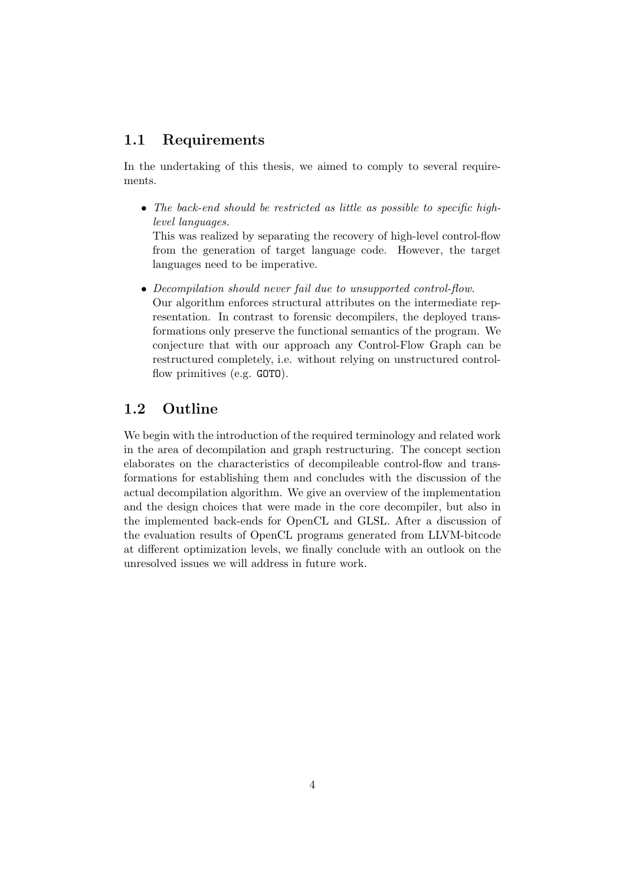## 1.1 Requirements

In the undertaking of this thesis, we aimed to comply to several requirements.

• The back-end should be restricted as little as possible to specific highlevel languages.

This was realized by separating the recovery of high-level control-flow from the generation of target language code. However, the target languages need to be imperative.

• Decompilation should never fail due to unsupported control-flow.

Our algorithm enforces structural attributes on the intermediate representation. In contrast to forensic decompilers, the deployed transformations only preserve the functional semantics of the program. We conjecture that with our approach any Control-Flow Graph can be restructured completely, i.e. without relying on unstructured controlflow primitives (e.g. GOTO).

## 1.2 Outline

We begin with the introduction of the required terminology and related work in the area of decompilation and graph restructuring. The concept section elaborates on the characteristics of decompileable control-flow and transformations for establishing them and concludes with the discussion of the actual decompilation algorithm. We give an overview of the implementation and the design choices that were made in the core decompiler, but also in the implemented back-ends for OpenCL and GLSL. After a discussion of the evaluation results of OpenCL programs generated from LLVM-bitcode at different optimization levels, we finally conclude with an outlook on the unresolved issues we will address in future work.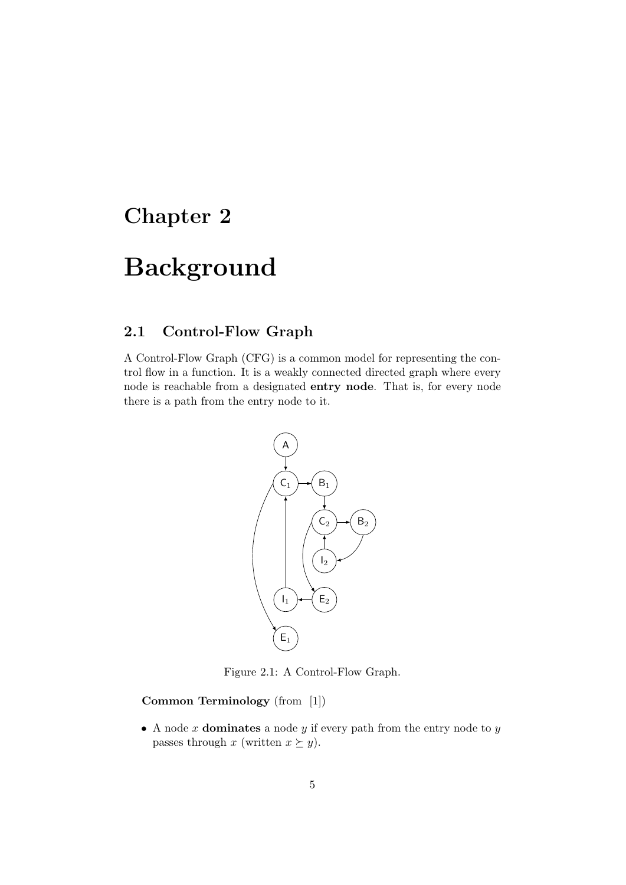## Chapter 2

# Background

## 2.1 Control-Flow Graph

A Control-Flow Graph (CFG) is a common model for representing the control flow in a function. It is a weakly connected directed graph where every node is reachable from a designated entry node. That is, for every node there is a path from the entry node to it.



Figure 2.1: A Control-Flow Graph.

Common Terminology (from [1])

• A node  $x$  dominates a node  $y$  if every path from the entry node to  $y$ passes through x (written  $x \succeq y$ ).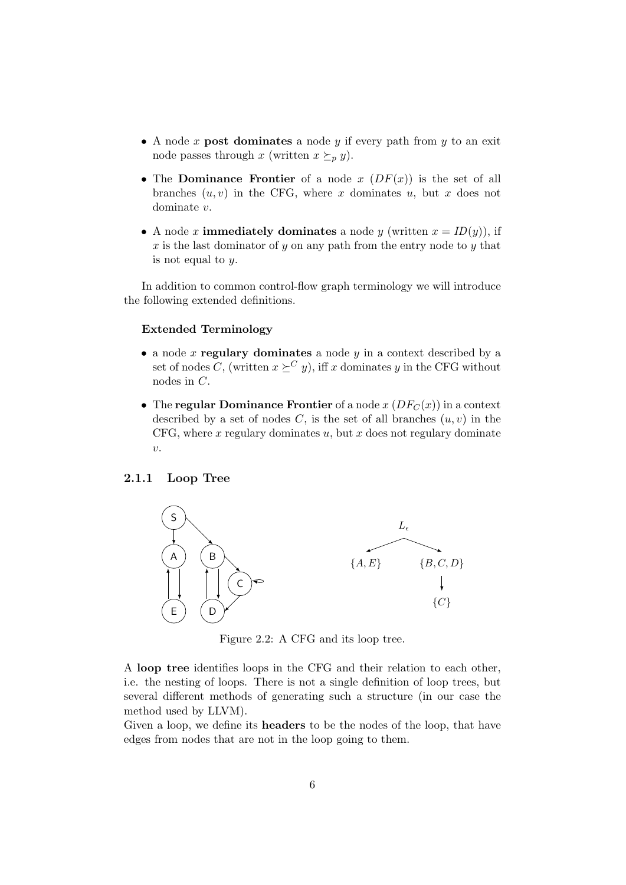- A node x post dominates a node y if every path from y to an exit node passes through x (written  $x \succeq_{p} y$ ).
- The Dominance Frontier of a node  $x(DF(x))$  is the set of all branches  $(u, v)$  in the CFG, where x dominates u, but x does not dominate v.
- A node x **immediately dominates** a node y (written  $x = ID(y)$ ), if x is the last dominator of y on any path from the entry node to y that is not equal to  $y$ .

In addition to common control-flow graph terminology we will introduce the following extended definitions.

#### Extended Terminology

- a node x regulary dominates a node  $y$  in a context described by a set of nodes C, (written  $x \succeq^C y$ ), iff x dominates y in the CFG without nodes in C.
- The regular Dominance Frontier of a node  $x(DF_C(x))$  in a context described by a set of nodes C, is the set of all branches  $(u, v)$  in the CFG, where  $x$  regulary dominates  $u$ , but  $x$  does not regulary dominate  $\upsilon.$

### 2.1.1 Loop Tree



Figure 2.2: A CFG and its loop tree.

A loop tree identifies loops in the CFG and their relation to each other, i.e. the nesting of loops. There is not a single definition of loop trees, but several different methods of generating such a structure (in our case the method used by LLVM).

Given a loop, we define its **headers** to be the nodes of the loop, that have edges from nodes that are not in the loop going to them.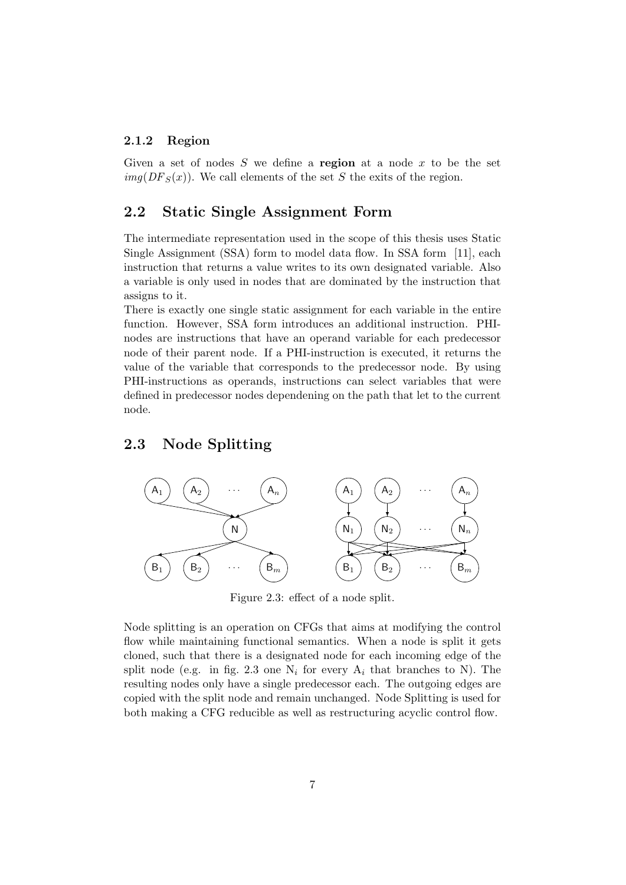### 2.1.2 Region

Given a set of nodes  $S$  we define a region at a node  $x$  to be the set  $img(DF<sub>S</sub>(x))$ . We call elements of the set S the exits of the region.

## 2.2 Static Single Assignment Form

The intermediate representation used in the scope of this thesis uses Static Single Assignment (SSA) form to model data flow. In SSA form [11], each instruction that returns a value writes to its own designated variable. Also a variable is only used in nodes that are dominated by the instruction that assigns to it.

There is exactly one single static assignment for each variable in the entire function. However, SSA form introduces an additional instruction. PHInodes are instructions that have an operand variable for each predecessor node of their parent node. If a PHI-instruction is executed, it returns the value of the variable that corresponds to the predecessor node. By using PHI-instructions as operands, instructions can select variables that were defined in predecessor nodes dependening on the path that let to the current node.

## 2.3 Node Splitting



Figure 2.3: effect of a node split.

Node splitting is an operation on CFGs that aims at modifying the control flow while maintaining functional semantics. When a node is split it gets cloned, such that there is a designated node for each incoming edge of the split node (e.g. in fig. 2.3 one  $N_i$  for every  $A_i$  that branches to N). The resulting nodes only have a single predecessor each. The outgoing edges are copied with the split node and remain unchanged. Node Splitting is used for both making a CFG reducible as well as restructuring acyclic control flow.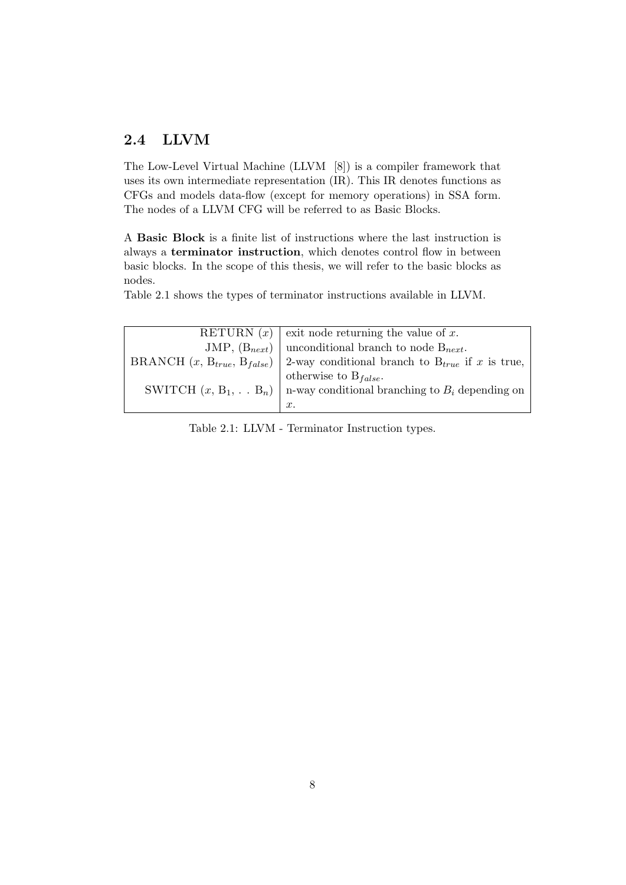## 2.4 LLVM

The Low-Level Virtual Machine (LLVM [8]) is a compiler framework that uses its own intermediate representation (IR). This IR denotes functions as CFGs and models data-flow (except for memory operations) in SSA form. The nodes of a LLVM CFG will be referred to as Basic Blocks.

A Basic Block is a finite list of instructions where the last instruction is always a terminator instruction, which denotes control flow in between basic blocks. In the scope of this thesis, we will refer to the basic blocks as nodes.

Table 2.1 shows the types of terminator instructions available in LLVM.

| RETURN $(x)$   exit node returning the value of x.                                     |
|----------------------------------------------------------------------------------------|
| JMP, $(B_{next})$   unconditional branch to node $B_{next}$ .                          |
| BRANCH $(x, B_{true}, B_{false})$ 2-way conditional branch to $B_{true}$ if x is true, |
| otherwise to $B_{false}$ .                                                             |
| SWITCH $(x, B_1, \ldots B_n)$   n-way conditional branching to $B_i$ depending on      |
| $x$ .                                                                                  |

Table 2.1: LLVM - Terminator Instruction types.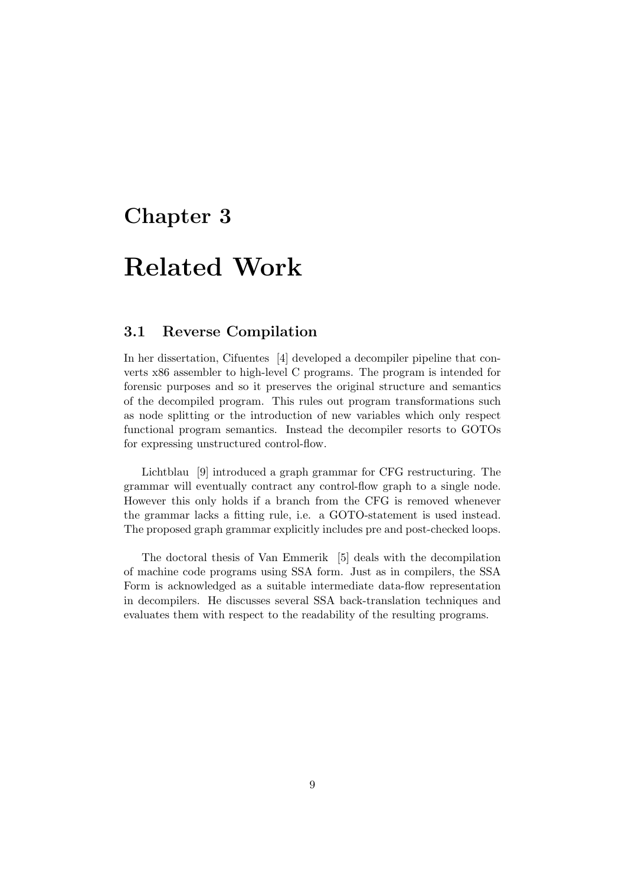## Chapter 3

# Related Work

## 3.1 Reverse Compilation

In her dissertation, Cifuentes [4] developed a decompiler pipeline that converts x86 assembler to high-level C programs. The program is intended for forensic purposes and so it preserves the original structure and semantics of the decompiled program. This rules out program transformations such as node splitting or the introduction of new variables which only respect functional program semantics. Instead the decompiler resorts to GOTOs for expressing unstructured control-flow.

Lichtblau [9] introduced a graph grammar for CFG restructuring. The grammar will eventually contract any control-flow graph to a single node. However this only holds if a branch from the CFG is removed whenever the grammar lacks a fitting rule, i.e. a GOTO-statement is used instead. The proposed graph grammar explicitly includes pre and post-checked loops.

The doctoral thesis of Van Emmerik [5] deals with the decompilation of machine code programs using SSA form. Just as in compilers, the SSA Form is acknowledged as a suitable intermediate data-flow representation in decompilers. He discusses several SSA back-translation techniques and evaluates them with respect to the readability of the resulting programs.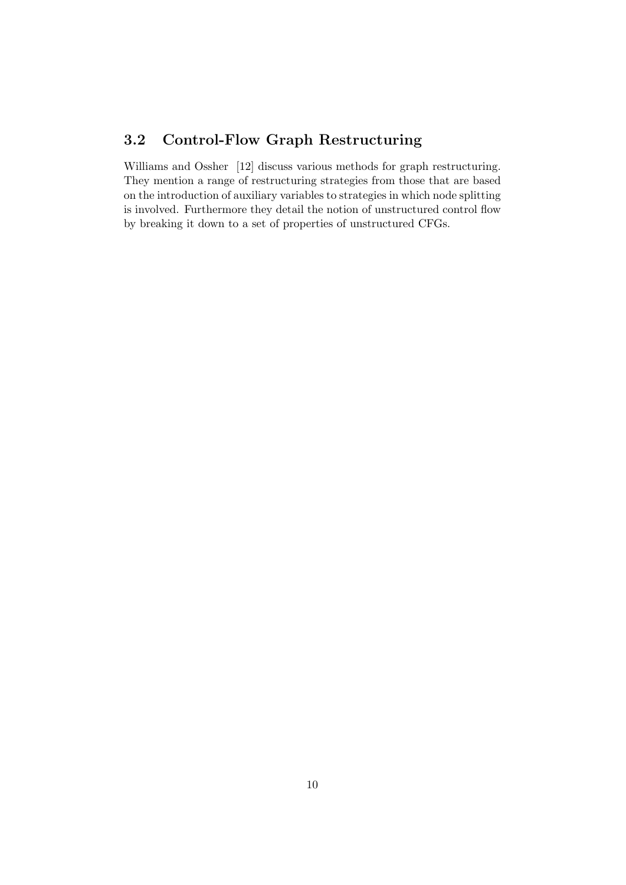## 3.2 Control-Flow Graph Restructuring

Williams and Ossher [12] discuss various methods for graph restructuring. They mention a range of restructuring strategies from those that are based on the introduction of auxiliary variables to strategies in which node splitting is involved. Furthermore they detail the notion of unstructured control flow by breaking it down to a set of properties of unstructured CFGs.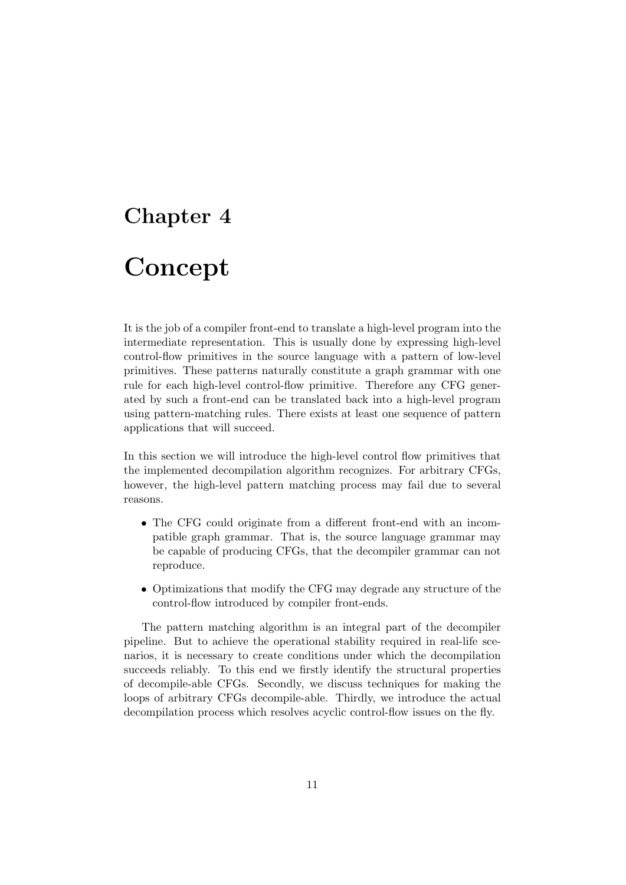## Chapter 4

# Concept

It is the job of a compiler front-end to translate a high-level program into the intermediate representation. This is usually done by expressing high-level control-flow primitives in the source language with a pattern of low-level primitives. These patterns naturally constitute a graph grammar with one rule for each high-level control-flow primitive. Therefore any CFG generated by such a front-end can be translated back into a high-level program using pattern-matching rules. There exists at least one sequence of pattern applications that will succeed.

In this section we will introduce the high-level control flow primitives that the implemented decompilation algorithm recognizes. For arbitrary CFGs, however, the high-level pattern matching process may fail due to several reasons.

- The CFG could originate from a different front-end with an incompatible graph grammar. That is, the source language grammar may be capable of producing CFGs, that the decompiler grammar can not reproduce.
- Optimizations that modify the CFG may degrade any structure of the control-flow introduced by compiler front-ends.

The pattern matching algorithm is an integral part of the decompiler pipeline. But to achieve the operational stability required in real-life scenarios, it is necessary to create conditions under which the decompilation succeeds reliably. To this end we firstly identify the structural properties of decompile-able CFGs. Secondly, we discuss techniques for making the loops of arbitrary CFGs decompile-able. Thirdly, we introduce the actual decompilation process which resolves acyclic control-flow issues on the fly.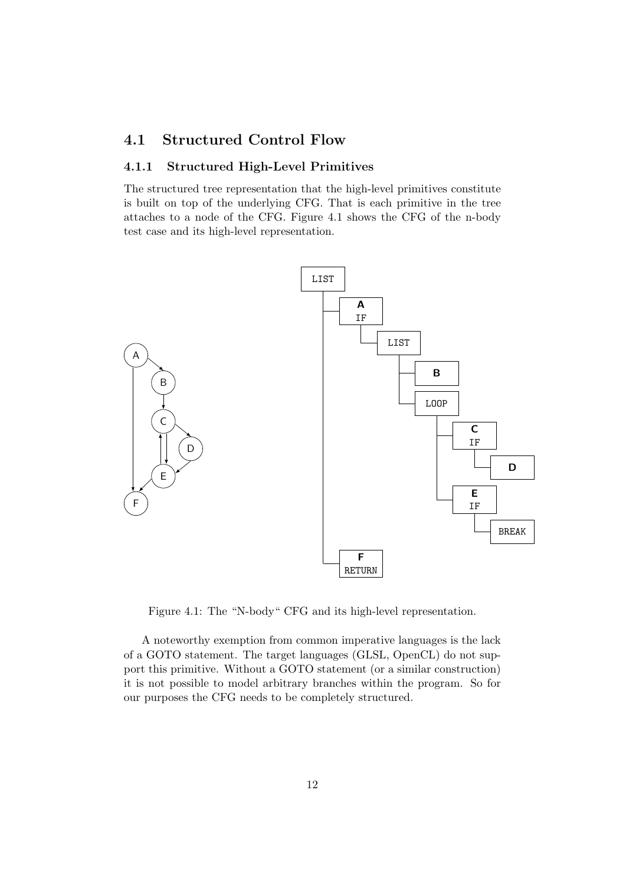## 4.1 Structured Control Flow

## 4.1.1 Structured High-Level Primitives

The structured tree representation that the high-level primitives constitute is built on top of the underlying CFG. That is each primitive in the tree attaches to a node of the CFG. Figure 4.1 shows the CFG of the n-body test case and its high-level representation.



Figure 4.1: The "N-body" CFG and its high-level representation.

A noteworthy exemption from common imperative languages is the lack of a GOTO statement. The target languages (GLSL, OpenCL) do not support this primitive. Without a GOTO statement (or a similar construction) it is not possible to model arbitrary branches within the program. So for our purposes the CFG needs to be completely structured.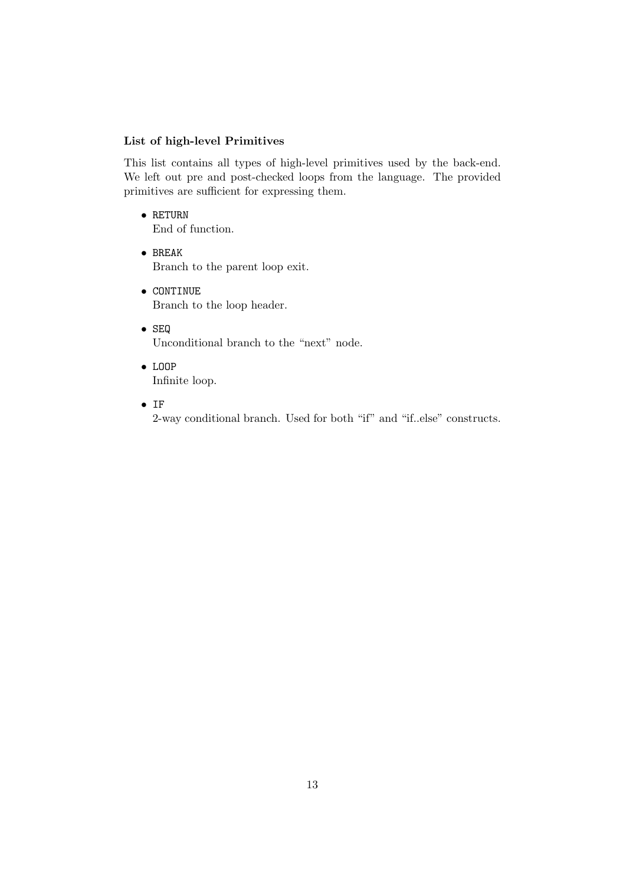## List of high-level Primitives

This list contains all types of high-level primitives used by the back-end. We left out pre and post-checked loops from the language. The provided primitives are sufficient for expressing them.

• RETURN

End of function.

- BREAK Branch to the parent loop exit.
- CONTINUE Branch to the loop header.
- SEQ Unconditional branch to the "next" node.
- LOOP Infinite loop.
- IF

2-way conditional branch. Used for both "if" and "if..else" constructs.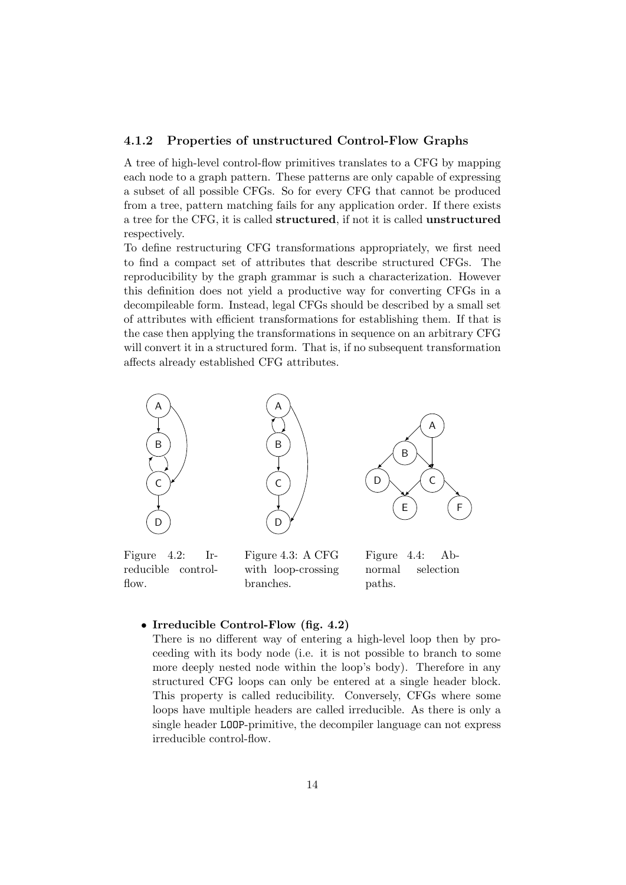### 4.1.2 Properties of unstructured Control-Flow Graphs

A tree of high-level control-flow primitives translates to a CFG by mapping each node to a graph pattern. These patterns are only capable of expressing a subset of all possible CFGs. So for every CFG that cannot be produced from a tree, pattern matching fails for any application order. If there exists a tree for the CFG, it is called structured, if not it is called unstructured respectively.

To define restructuring CFG transformations appropriately, we first need to find a compact set of attributes that describe structured CFGs. The reproducibility by the graph grammar is such a characterization. However this definition does not yield a productive way for converting CFGs in a decompileable form. Instead, legal CFGs should be described by a small set of attributes with efficient transformations for establishing them. If that is the case then applying the transformations in sequence on an arbitrary CFG will convert it in a structured form. That is, if no subsequent transformation affects already established CFG attributes.



reducible controlflow.

with loop-crossing branches.

normal selection paths.

• Irreducible Control-Flow (fig. 4.2)

There is no different way of entering a high-level loop then by proceeding with its body node (i.e. it is not possible to branch to some more deeply nested node within the loop's body). Therefore in any structured CFG loops can only be entered at a single header block. This property is called reducibility. Conversely, CFGs where some loops have multiple headers are called irreducible. As there is only a single header LOOP-primitive, the decompiler language can not express irreducible control-flow.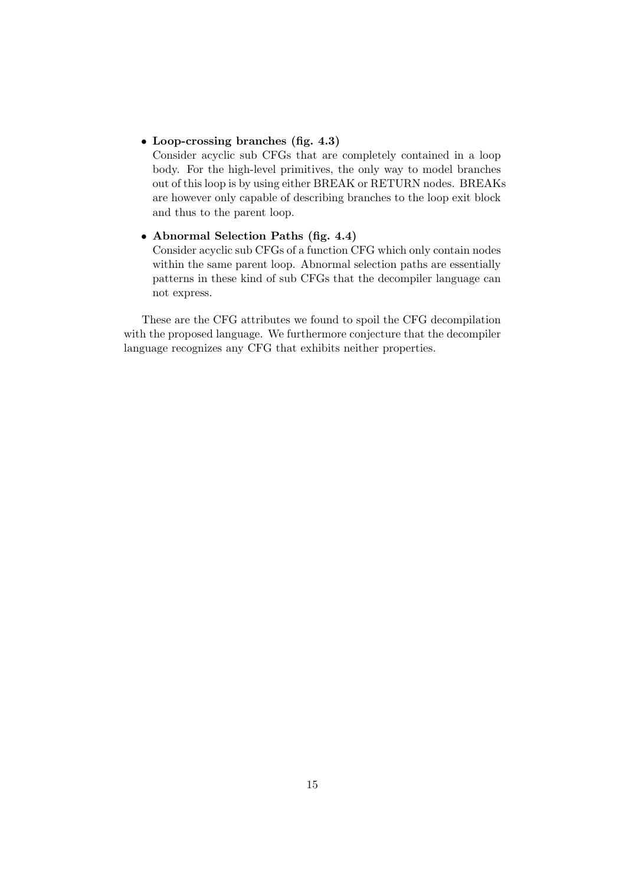• Loop-crossing branches (fig. 4.3)

Consider acyclic sub CFGs that are completely contained in a loop body. For the high-level primitives, the only way to model branches out of this loop is by using either BREAK or RETURN nodes. BREAKs are however only capable of describing branches to the loop exit block and thus to the parent loop.

## • Abnormal Selection Paths (fig. 4.4)

Consider acyclic sub CFGs of a function CFG which only contain nodes within the same parent loop. Abnormal selection paths are essentially patterns in these kind of sub CFGs that the decompiler language can not express.

These are the CFG attributes we found to spoil the CFG decompilation with the proposed language. We furthermore conjecture that the decompiler language recognizes any CFG that exhibits neither properties.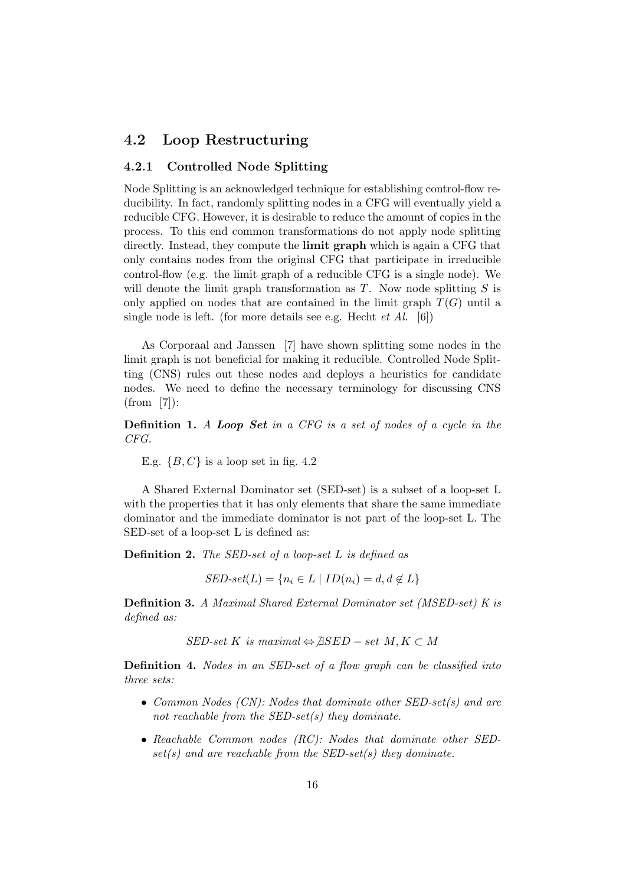## 4.2 Loop Restructuring

## 4.2.1 Controlled Node Splitting

Node Splitting is an acknowledged technique for establishing control-flow reducibility. In fact, randomly splitting nodes in a CFG will eventually yield a reducible CFG. However, it is desirable to reduce the amount of copies in the process. To this end common transformations do not apply node splitting directly. Instead, they compute the **limit graph** which is again a CFG that only contains nodes from the original CFG that participate in irreducible control-flow (e.g. the limit graph of a reducible CFG is a single node). We will denote the limit graph transformation as  $T$ . Now node splitting  $S$  is only applied on nodes that are contained in the limit graph  $T(G)$  until a single node is left. (for more details see e.g. Hecht  $et$  Al. [6])

As Corporaal and Janssen [7] have shown splitting some nodes in the limit graph is not beneficial for making it reducible. Controlled Node Splitting (CNS) rules out these nodes and deploys a heuristics for candidate nodes. We need to define the necessary terminology for discussing CNS (from [7]):

**Definition 1.** A Loop Set in a CFG is a set of nodes of a cycle in the CFG.

E.g.  $\{B, C\}$  is a loop set in fig. 4.2

A Shared External Dominator set (SED-set) is a subset of a loop-set L with the properties that it has only elements that share the same immediate dominator and the immediate dominator is not part of the loop-set L. The SED-set of a loop-set L is defined as:

**Definition 2.** The SED-set of a loop-set  $L$  is defined as

 $\mathit{SED-set}(L) = \{n_i \in L \mid ID(n_i) = d, d \notin L\}$ 

Definition 3. A Maximal Shared External Dominator set (MSED-set) K is defined as:

 $SED-set K$  is maximal  $\Leftrightarrow$   $\exists SED - set M$ ,  $K \subset M$ 

Definition 4. Nodes in an SED-set of a flow graph can be classified into three sets:

- Common Nodes (CN): Nodes that dominate other SED-set(s) and are not reachable from the  $SED\text{-}set(s)$  they dominate.
- Reachable Common nodes (RC): Nodes that dominate other SED $set(s)$  and are reachable from the SED-set(s) they dominate.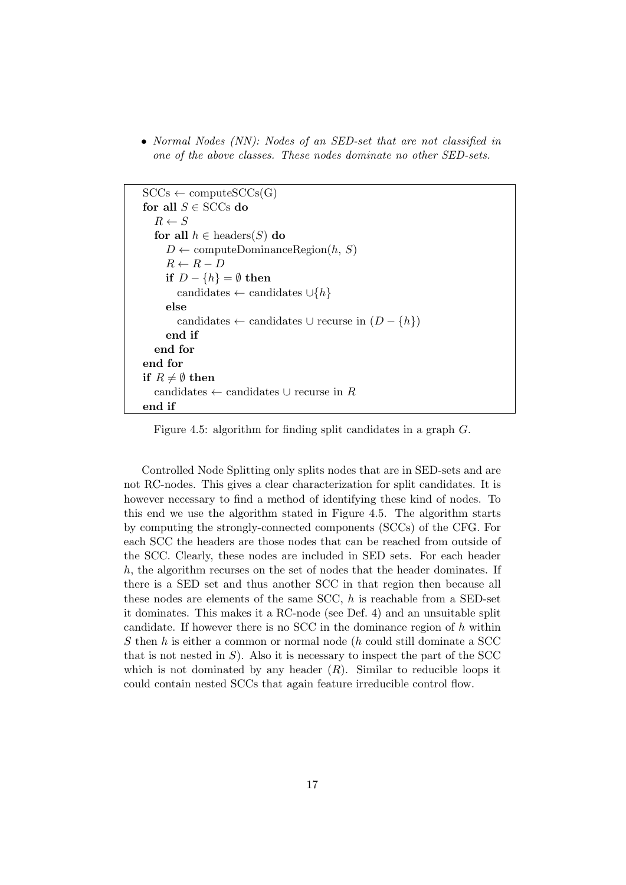• Normal Nodes (NN): Nodes of an SED-set that are not classified in one of the above classes. These nodes dominate no other SED-sets.

```
SCCs \leftarrow computeSCCs(G)for all S \in SCCs do
  R \leftarrow Sfor all h \in headers(S) do
     D \leftarrow computeDominanceRegion(h, S)
     R \leftarrow R - Dif D - \{h\} = \emptyset then
       candidates ← candidates \cup \{h\}else
       candidates ← candidates ∪ recurse in (D - \{h\})end if
  end for
end for
if R \neq \emptyset then
  candidates \leftarrow candidates ∪ recurse in R
end if
```
Figure 4.5: algorithm for finding split candidates in a graph G.

Controlled Node Splitting only splits nodes that are in SED-sets and are not RC-nodes. This gives a clear characterization for split candidates. It is however necessary to find a method of identifying these kind of nodes. To this end we use the algorithm stated in Figure 4.5. The algorithm starts by computing the strongly-connected components (SCCs) of the CFG. For each SCC the headers are those nodes that can be reached from outside of the SCC. Clearly, these nodes are included in SED sets. For each header  $h$ , the algorithm recurses on the set of nodes that the header dominates. If there is a SED set and thus another SCC in that region then because all these nodes are elements of the same SCC,  $h$  is reachable from a SED-set it dominates. This makes it a RC-node (see Def. 4) and an unsuitable split candidate. If however there is no SCC in the dominance region of  $h$  within  $S$  then  $h$  is either a common or normal node  $(h$  could still dominate a  $\operatorname{SCC}$ that is not nested in  $S$ ). Also it is necessary to inspect the part of the SCC which is not dominated by any header  $(R)$ . Similar to reducible loops it could contain nested SCCs that again feature irreducible control flow.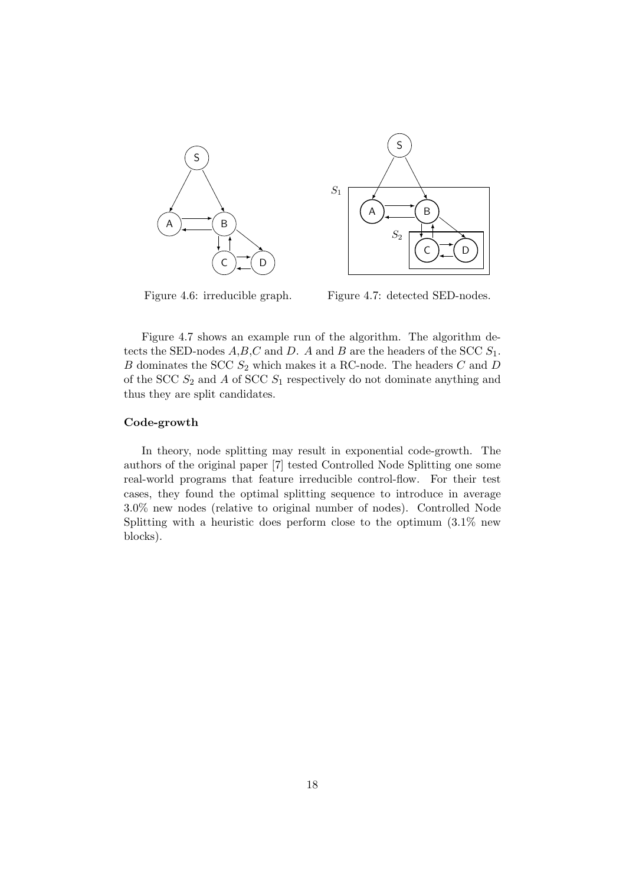

Figure 4.6: irreducible graph.

Figure 4.7: detected SED-nodes.

Figure 4.7 shows an example run of the algorithm. The algorithm detects the SED-nodes  $A, B, C$  and D. A and B are the headers of the SCC  $S_1$ .  $B$  dominates the SCC  $S_2$  which makes it a RC-node. The headers  $C$  and  $D$ of the SCC  $S_2$  and A of SCC  $S_1$  respectively do not dominate anything and thus they are split candidates.

#### Code-growth

In theory, node splitting may result in exponential code-growth. The authors of the original paper [7] tested Controlled Node Splitting one some real-world programs that feature irreducible control-flow. For their test cases, they found the optimal splitting sequence to introduce in average 3.0% new nodes (relative to original number of nodes). Controlled Node Splitting with a heuristic does perform close to the optimum (3.1% new blocks).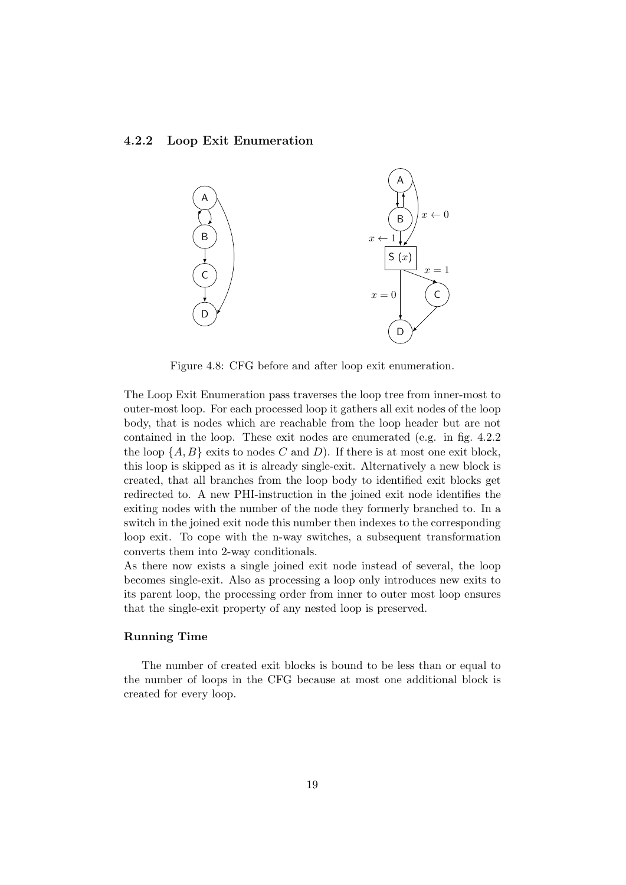#### 4.2.2 Loop Exit Enumeration



Figure 4.8: CFG before and after loop exit enumeration.

The Loop Exit Enumeration pass traverses the loop tree from inner-most to outer-most loop. For each processed loop it gathers all exit nodes of the loop body, that is nodes which are reachable from the loop header but are not contained in the loop. These exit nodes are enumerated (e.g. in fig. 4.2.2 the loop  $\{A, B\}$  exits to nodes C and D). If there is at most one exit block, this loop is skipped as it is already single-exit. Alternatively a new block is created, that all branches from the loop body to identified exit blocks get redirected to. A new PHI-instruction in the joined exit node identifies the exiting nodes with the number of the node they formerly branched to. In a switch in the joined exit node this number then indexes to the corresponding loop exit. To cope with the n-way switches, a subsequent transformation converts them into 2-way conditionals.

As there now exists a single joined exit node instead of several, the loop becomes single-exit. Also as processing a loop only introduces new exits to its parent loop, the processing order from inner to outer most loop ensures that the single-exit property of any nested loop is preserved.

### Running Time

The number of created exit blocks is bound to be less than or equal to the number of loops in the CFG because at most one additional block is created for every loop.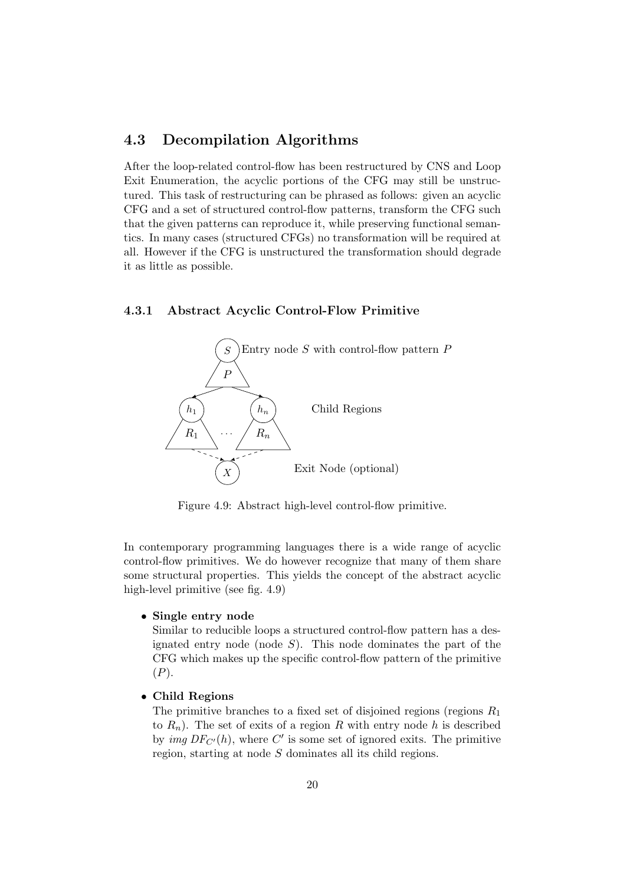## 4.3 Decompilation Algorithms

After the loop-related control-flow has been restructured by CNS and Loop Exit Enumeration, the acyclic portions of the CFG may still be unstructured. This task of restructuring can be phrased as follows: given an acyclic CFG and a set of structured control-flow patterns, transform the CFG such that the given patterns can reproduce it, while preserving functional semantics. In many cases (structured CFGs) no transformation will be required at all. However if the CFG is unstructured the transformation should degrade it as little as possible.

#### 4.3.1 Abstract Acyclic Control-Flow Primitive



Figure 4.9: Abstract high-level control-flow primitive.

In contemporary programming languages there is a wide range of acyclic control-flow primitives. We do however recognize that many of them share some structural properties. This yields the concept of the abstract acyclic high-level primitive (see fig. 4.9)

#### • Single entry node

Similar to reducible loops a structured control-flow pattern has a designated entry node (node  $S$ ). This node dominates the part of the CFG which makes up the specific control-flow pattern of the primitive  $(P).$ 

• Child Regions

The primitive branches to a fixed set of disjoined regions (regions  $R_1$ ) to  $R_n$ ). The set of exits of a region R with entry node h is described by *img*  $DF_{C'}(h)$ , where C' is some set of ignored exits. The primitive region, starting at node S dominates all its child regions.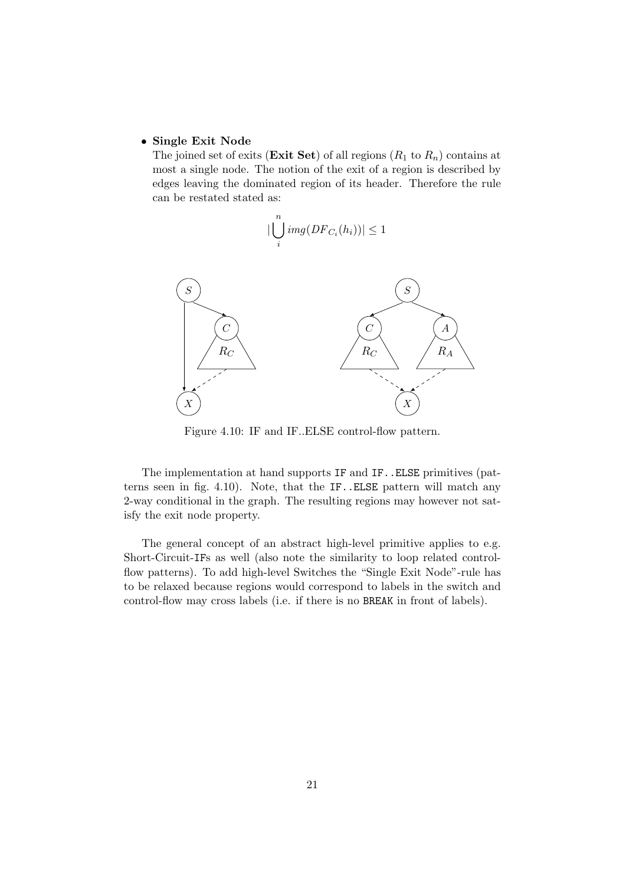#### • Single Exit Node

The joined set of exits (Exit Set) of all regions  $(R_1 \text{ to } R_n)$  contains at most a single node. The notion of the exit of a region is described by edges leaving the dominated region of its header. Therefore the rule can be restated stated as:

$$
|\bigcup_i^n img (DF_{C_i}(h_i))| \leq 1
$$



Figure 4.10: IF and IF..ELSE control-flow pattern.

The implementation at hand supports IF and IF..ELSE primitives (patterns seen in fig. 4.10). Note, that the IF..ELSE pattern will match any 2-way conditional in the graph. The resulting regions may however not satisfy the exit node property.

The general concept of an abstract high-level primitive applies to e.g. Short-Circuit-IFs as well (also note the similarity to loop related controlflow patterns). To add high-level Switches the "Single Exit Node"-rule has to be relaxed because regions would correspond to labels in the switch and control-flow may cross labels (i.e. if there is no BREAK in front of labels).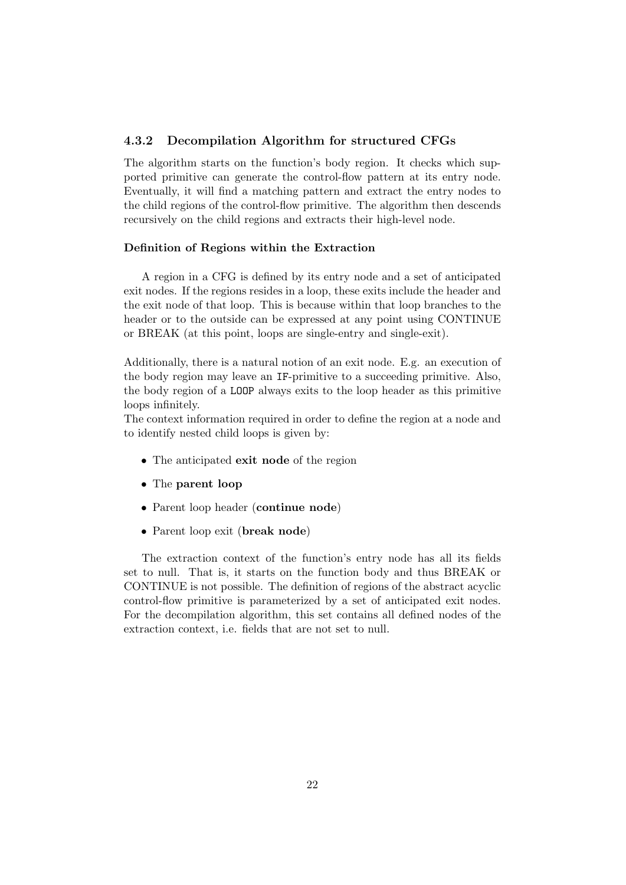## 4.3.2 Decompilation Algorithm for structured CFGs

The algorithm starts on the function's body region. It checks which supported primitive can generate the control-flow pattern at its entry node. Eventually, it will find a matching pattern and extract the entry nodes to the child regions of the control-flow primitive. The algorithm then descends recursively on the child regions and extracts their high-level node.

#### Definition of Regions within the Extraction

A region in a CFG is defined by its entry node and a set of anticipated exit nodes. If the regions resides in a loop, these exits include the header and the exit node of that loop. This is because within that loop branches to the header or to the outside can be expressed at any point using CONTINUE or BREAK (at this point, loops are single-entry and single-exit).

Additionally, there is a natural notion of an exit node. E.g. an execution of the body region may leave an IF-primitive to a succeeding primitive. Also, the body region of a LOOP always exits to the loop header as this primitive loops infinitely.

The context information required in order to define the region at a node and to identify nested child loops is given by:

- The anticipated exit node of the region
- The parent loop
- Parent loop header (continue node)
- Parent loop exit (break node)

The extraction context of the function's entry node has all its fields set to null. That is, it starts on the function body and thus BREAK or CONTINUE is not possible. The definition of regions of the abstract acyclic control-flow primitive is parameterized by a set of anticipated exit nodes. For the decompilation algorithm, this set contains all defined nodes of the extraction context, i.e. fields that are not set to null.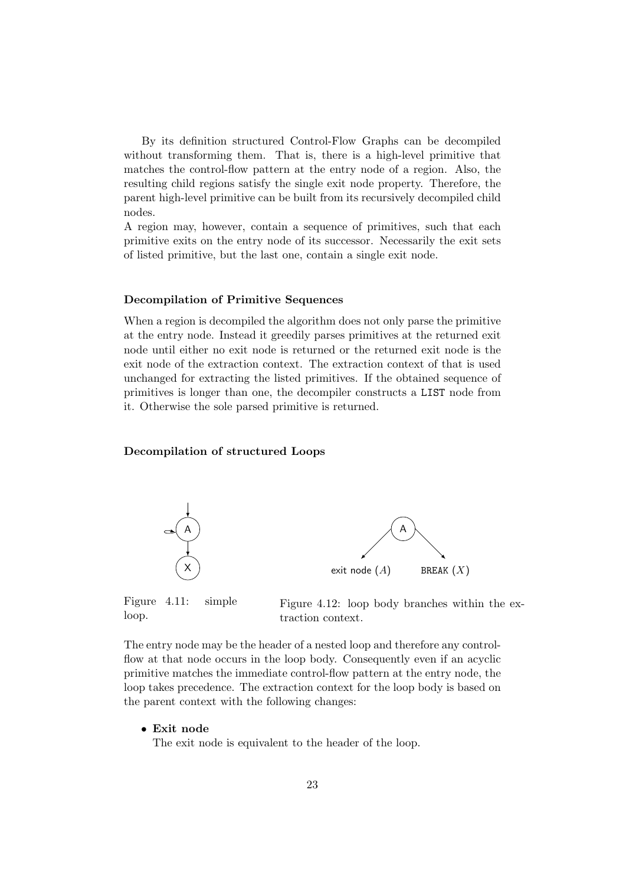By its definition structured Control-Flow Graphs can be decompiled without transforming them. That is, there is a high-level primitive that matches the control-flow pattern at the entry node of a region. Also, the resulting child regions satisfy the single exit node property. Therefore, the parent high-level primitive can be built from its recursively decompiled child nodes.

A region may, however, contain a sequence of primitives, such that each primitive exits on the entry node of its successor. Necessarily the exit sets of listed primitive, but the last one, contain a single exit node.

#### Decompilation of Primitive Sequences

When a region is decompiled the algorithm does not only parse the primitive at the entry node. Instead it greedily parses primitives at the returned exit node until either no exit node is returned or the returned exit node is the exit node of the extraction context. The extraction context of that is used unchanged for extracting the listed primitives. If the obtained sequence of primitives is longer than one, the decompiler constructs a LIST node from it. Otherwise the sole parsed primitive is returned.

#### Decompilation of structured Loops



Figure 4.11: simple loop.

Figure 4.12: loop body branches within the extraction context.

The entry node may be the header of a nested loop and therefore any controlflow at that node occurs in the loop body. Consequently even if an acyclic primitive matches the immediate control-flow pattern at the entry node, the loop takes precedence. The extraction context for the loop body is based on the parent context with the following changes:

• Exit node

The exit node is equivalent to the header of the loop.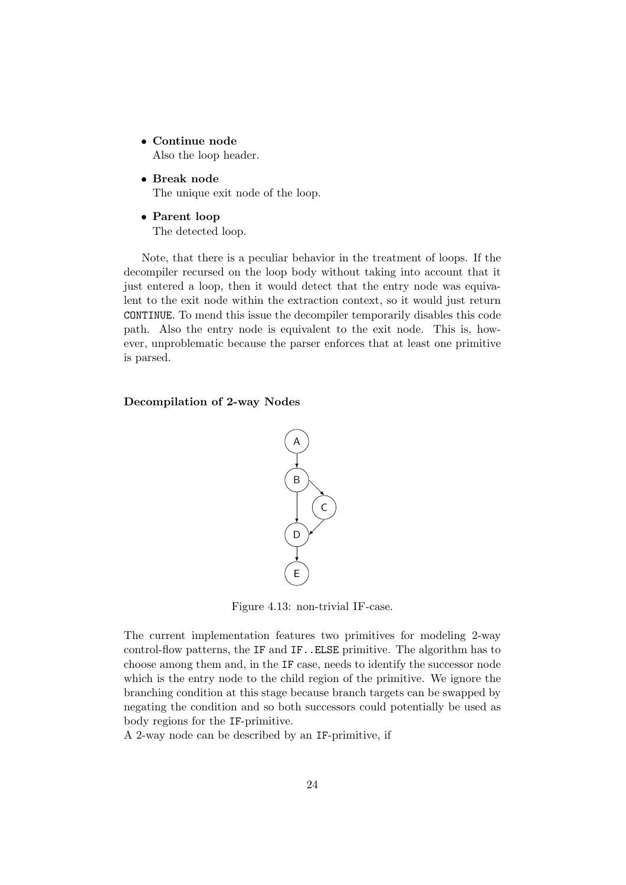- Continue node Also the loop header.
- Break node The unique exit node of the loop.
- Parent loop The detected loop.

Note, that there is a peculiar behavior in the treatment of loops. If the decompiler recursed on the loop body without taking into account that it just entered a loop, then it would detect that the entry node was equivalent to the exit node within the extraction context, so it would just return CONTINUE. To mend this issue the decompiler temporarily disables this code path. Also the entry node is equivalent to the exit node. This is, however, unproblematic because the parser enforces that at least one primitive is parsed.

Decompilation of 2-way Nodes



Figure 4.13: non-trivial IF-case.

The current implementation features two primitives for modeling 2-way control-flow patterns, the IF and IF..ELSE primitive. The algorithm has to choose among them and, in the IF case, needs to identify the successor node which is the entry node to the child region of the primitive. We ignore the branching condition at this stage because branch targets can be swapped by negating the condition and so both successors could potentially be used as body regions for the IF-primitive.

A 2-way node can be described by an IF-primitive, if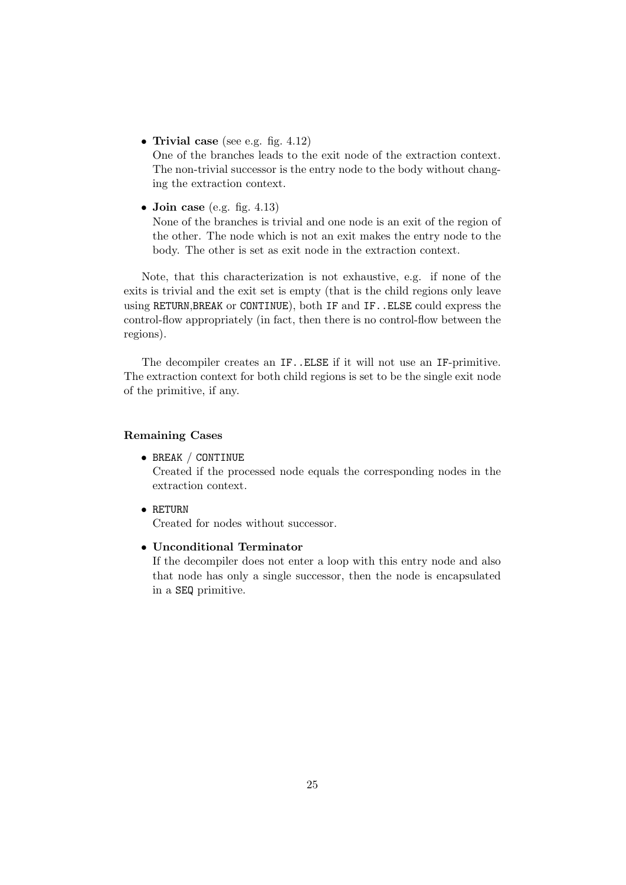• Trivial case (see e.g. fig.  $4.12$ )

One of the branches leads to the exit node of the extraction context. The non-trivial successor is the entry node to the body without changing the extraction context.

• Join case (e.g. fig.  $4.13$ )

None of the branches is trivial and one node is an exit of the region of the other. The node which is not an exit makes the entry node to the body. The other is set as exit node in the extraction context.

Note, that this characterization is not exhaustive, e.g. if none of the exits is trivial and the exit set is empty (that is the child regions only leave using RETURN,BREAK or CONTINUE), both IF and IF..ELSE could express the control-flow appropriately (in fact, then there is no control-flow between the regions).

The decompiler creates an IF..ELSE if it will not use an IF-primitive. The extraction context for both child regions is set to be the single exit node of the primitive, if any.

### Remaining Cases

• BREAK / CONTINUE

Created if the processed node equals the corresponding nodes in the extraction context.

• RETURN

Created for nodes without successor.

• Unconditional Terminator

If the decompiler does not enter a loop with this entry node and also that node has only a single successor, then the node is encapsulated in a SEQ primitive.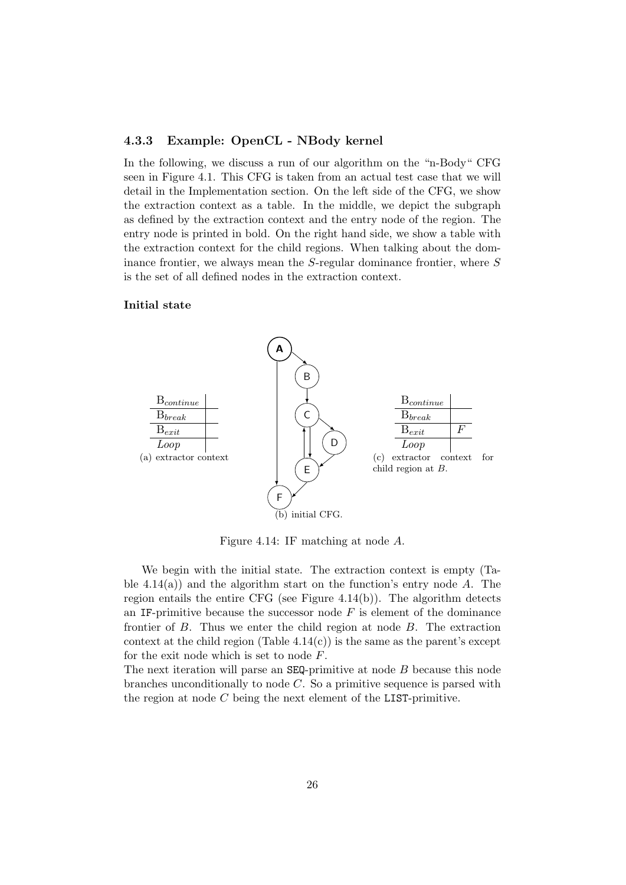#### 4.3.3 Example: OpenCL - NBody kernel

In the following, we discuss a run of our algorithm on the "n-Body" CFG seen in Figure 4.1. This CFG is taken from an actual test case that we will detail in the Implementation section. On the left side of the CFG, we show the extraction context as a table. In the middle, we depict the subgraph as defined by the extraction context and the entry node of the region. The entry node is printed in bold. On the right hand side, we show a table with the extraction context for the child regions. When talking about the dominance frontier, we always mean the S-regular dominance frontier, where S is the set of all defined nodes in the extraction context.

### Initial state



Figure 4.14: IF matching at node A.

We begin with the initial state. The extraction context is empty (Table 4.14(a)) and the algorithm start on the function's entry node  $A$ . The region entails the entire CFG (see Figure 4.14(b)). The algorithm detects an IF-primitive because the successor node  $F$  is element of the dominance frontier of B. Thus we enter the child region at node B. The extraction context at the child region (Table  $4.14(c)$ ) is the same as the parent's except for the exit node which is set to node F.

The next iteration will parse an SEQ-primitive at node B because this node branches unconditionally to node C. So a primitive sequence is parsed with the region at node C being the next element of the LIST-primitive.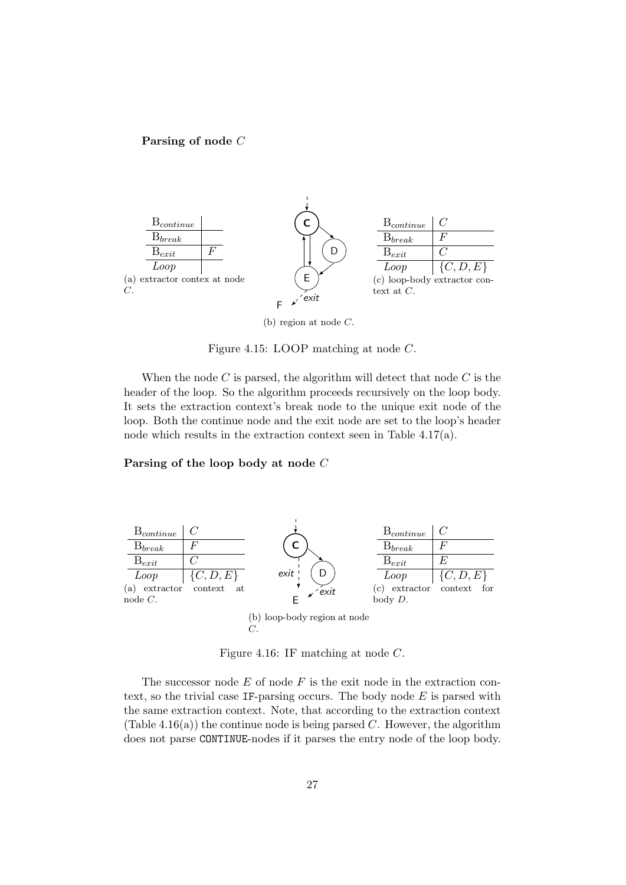#### Parsing of node C



(b) region at node C.

Figure 4.15: LOOP matching at node C.

When the node  $C$  is parsed, the algorithm will detect that node  $C$  is the header of the loop. So the algorithm proceeds recursively on the loop body. It sets the extraction context's break node to the unique exit node of the loop. Both the continue node and the exit node are set to the loop's header node which results in the extraction context seen in Table 4.17(a).

#### Parsing of the loop body at node C



Figure 4.16: IF matching at node C.

The successor node  $E$  of node  $F$  is the exit node in the extraction context, so the trivial case IF-parsing occurs. The body node  $E$  is parsed with the same extraction context. Note, that according to the extraction context (Table 4.16(a)) the continue node is being parsed C. However, the algorithm does not parse CONTINUE-nodes if it parses the entry node of the loop body.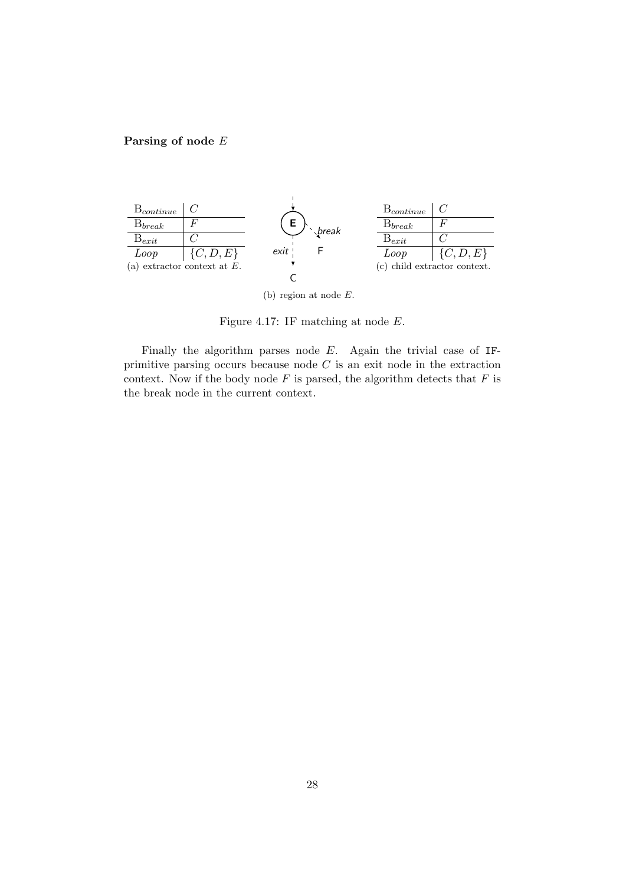## Parsing of node E



(b) region at node E.

Figure 4.17: IF matching at node E.

Finally the algorithm parses node E. Again the trivial case of IFprimitive parsing occurs because node  $C$  is an exit node in the extraction context. Now if the body node  $F$  is parsed, the algorithm detects that  $F$  is the break node in the current context.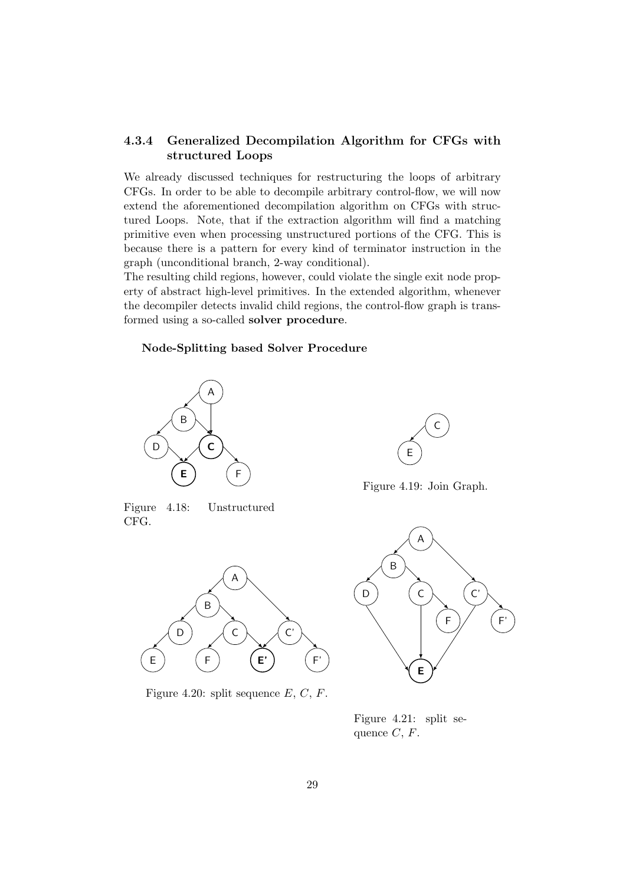## 4.3.4 Generalized Decompilation Algorithm for CFGs with structured Loops

We already discussed techniques for restructuring the loops of arbitrary CFGs. In order to be able to decompile arbitrary control-flow, we will now extend the aforementioned decompilation algorithm on CFGs with structured Loops. Note, that if the extraction algorithm will find a matching primitive even when processing unstructured portions of the CFG. This is because there is a pattern for every kind of terminator instruction in the graph (unconditional branch, 2-way conditional).

The resulting child regions, however, could violate the single exit node property of abstract high-level primitives. In the extended algorithm, whenever the decompiler detects invalid child regions, the control-flow graph is transformed using a so-called solver procedure.

#### Node-Splitting based Solver Procedure



Figure 4.18: Unstructured CFG.



Figure 4.20: split sequence  $E, C, F$ .



Figure 4.19: Join Graph.



Figure 4.21: split sequence  $C, F$ .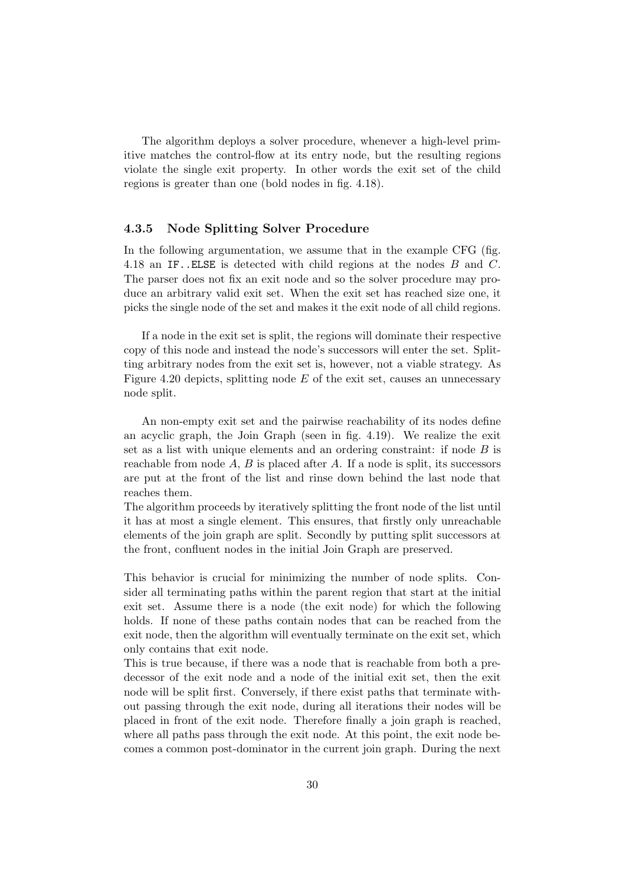The algorithm deploys a solver procedure, whenever a high-level primitive matches the control-flow at its entry node, but the resulting regions violate the single exit property. In other words the exit set of the child regions is greater than one (bold nodes in fig. 4.18).

#### 4.3.5 Node Splitting Solver Procedure

In the following argumentation, we assume that in the example CFG (fig. 4.18 an IF..ELSE is detected with child regions at the nodes B and C. The parser does not fix an exit node and so the solver procedure may produce an arbitrary valid exit set. When the exit set has reached size one, it picks the single node of the set and makes it the exit node of all child regions.

If a node in the exit set is split, the regions will dominate their respective copy of this node and instead the node's successors will enter the set. Splitting arbitrary nodes from the exit set is, however, not a viable strategy. As Figure 4.20 depicts, splitting node  $E$  of the exit set, causes an unnecessary node split.

An non-empty exit set and the pairwise reachability of its nodes define an acyclic graph, the Join Graph (seen in fig. 4.19). We realize the exit set as a list with unique elements and an ordering constraint: if node  $B$  is reachable from node  $A, B$  is placed after  $A$ . If a node is split, its successors are put at the front of the list and rinse down behind the last node that reaches them.

The algorithm proceeds by iteratively splitting the front node of the list until it has at most a single element. This ensures, that firstly only unreachable elements of the join graph are split. Secondly by putting split successors at the front, confluent nodes in the initial Join Graph are preserved.

This behavior is crucial for minimizing the number of node splits. Consider all terminating paths within the parent region that start at the initial exit set. Assume there is a node (the exit node) for which the following holds. If none of these paths contain nodes that can be reached from the exit node, then the algorithm will eventually terminate on the exit set, which only contains that exit node.

This is true because, if there was a node that is reachable from both a predecessor of the exit node and a node of the initial exit set, then the exit node will be split first. Conversely, if there exist paths that terminate without passing through the exit node, during all iterations their nodes will be placed in front of the exit node. Therefore finally a join graph is reached, where all paths pass through the exit node. At this point, the exit node becomes a common post-dominator in the current join graph. During the next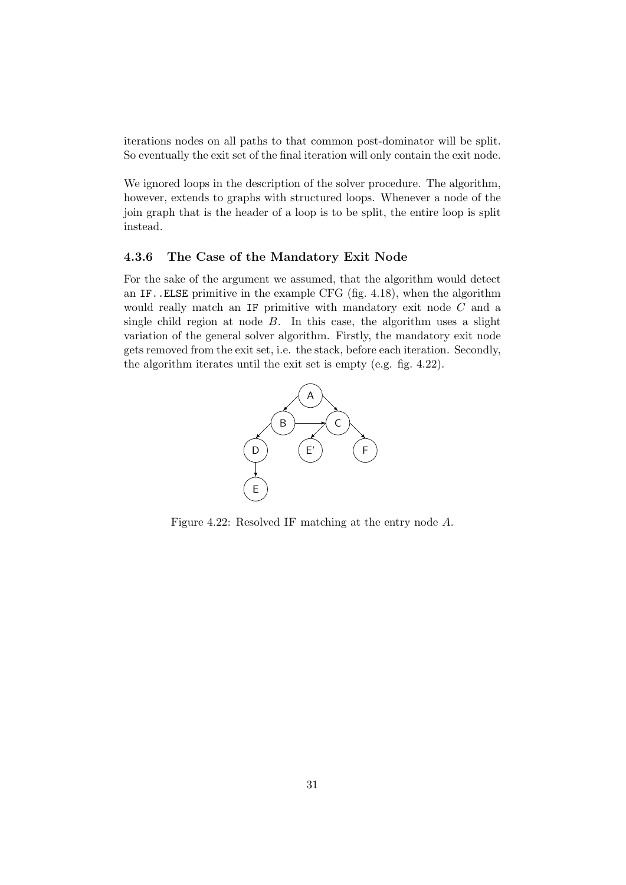iterations nodes on all paths to that common post-dominator will be split. So eventually the exit set of the final iteration will only contain the exit node.

We ignored loops in the description of the solver procedure. The algorithm, however, extends to graphs with structured loops. Whenever a node of the join graph that is the header of a loop is to be split, the entire loop is split instead.

#### 4.3.6 The Case of the Mandatory Exit Node

For the sake of the argument we assumed, that the algorithm would detect an IF..ELSE primitive in the example CFG (fig. 4.18), when the algorithm would really match an IF primitive with mandatory exit node C and a single child region at node  $B$ . In this case, the algorithm uses a slight variation of the general solver algorithm. Firstly, the mandatory exit node gets removed from the exit set, i.e. the stack, before each iteration. Secondly, the algorithm iterates until the exit set is empty (e.g. fig. 4.22).



Figure 4.22: Resolved IF matching at the entry node A.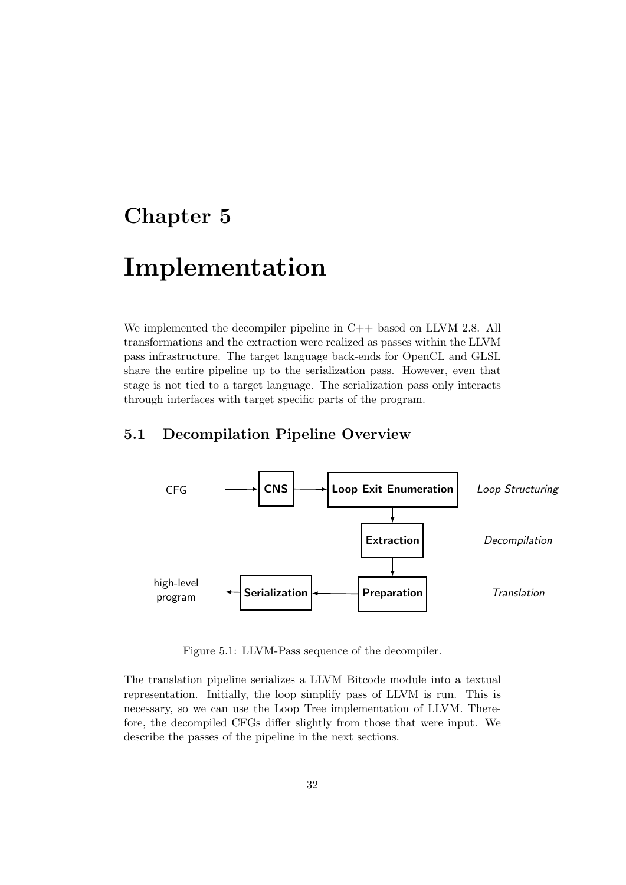## Chapter 5

## Implementation

We implemented the decompiler pipeline in C++ based on LLVM 2.8. All transformations and the extraction were realized as passes within the LLVM pass infrastructure. The target language back-ends for OpenCL and GLSL share the entire pipeline up to the serialization pass. However, even that stage is not tied to a target language. The serialization pass only interacts through interfaces with target specific parts of the program.

## 5.1 Decompilation Pipeline Overview



Figure 5.1: LLVM-Pass sequence of the decompiler.

The translation pipeline serializes a LLVM Bitcode module into a textual representation. Initially, the loop simplify pass of LLVM is run. This is necessary, so we can use the Loop Tree implementation of LLVM. Therefore, the decompiled CFGs differ slightly from those that were input. We describe the passes of the pipeline in the next sections.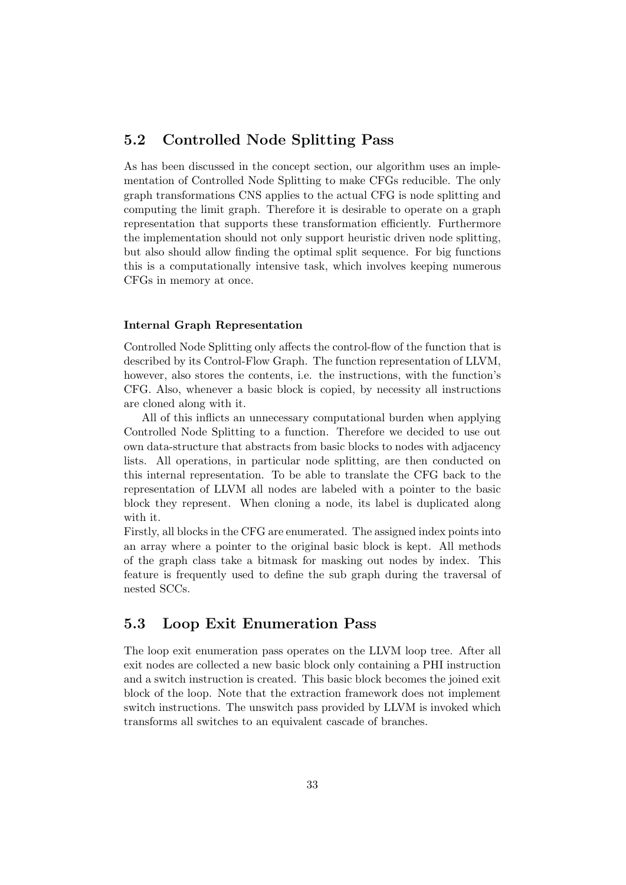## 5.2 Controlled Node Splitting Pass

As has been discussed in the concept section, our algorithm uses an implementation of Controlled Node Splitting to make CFGs reducible. The only graph transformations CNS applies to the actual CFG is node splitting and computing the limit graph. Therefore it is desirable to operate on a graph representation that supports these transformation efficiently. Furthermore the implementation should not only support heuristic driven node splitting, but also should allow finding the optimal split sequence. For big functions this is a computationally intensive task, which involves keeping numerous CFGs in memory at once.

#### Internal Graph Representation

Controlled Node Splitting only affects the control-flow of the function that is described by its Control-Flow Graph. The function representation of LLVM, however, also stores the contents, i.e. the instructions, with the function's CFG. Also, whenever a basic block is copied, by necessity all instructions are cloned along with it.

All of this inflicts an unnecessary computational burden when applying Controlled Node Splitting to a function. Therefore we decided to use out own data-structure that abstracts from basic blocks to nodes with adjacency lists. All operations, in particular node splitting, are then conducted on this internal representation. To be able to translate the CFG back to the representation of LLVM all nodes are labeled with a pointer to the basic block they represent. When cloning a node, its label is duplicated along with it.

Firstly, all blocks in the CFG are enumerated. The assigned index points into an array where a pointer to the original basic block is kept. All methods of the graph class take a bitmask for masking out nodes by index. This feature is frequently used to define the sub graph during the traversal of nested SCCs.

## 5.3 Loop Exit Enumeration Pass

The loop exit enumeration pass operates on the LLVM loop tree. After all exit nodes are collected a new basic block only containing a PHI instruction and a switch instruction is created. This basic block becomes the joined exit block of the loop. Note that the extraction framework does not implement switch instructions. The unswitch pass provided by LLVM is invoked which transforms all switches to an equivalent cascade of branches.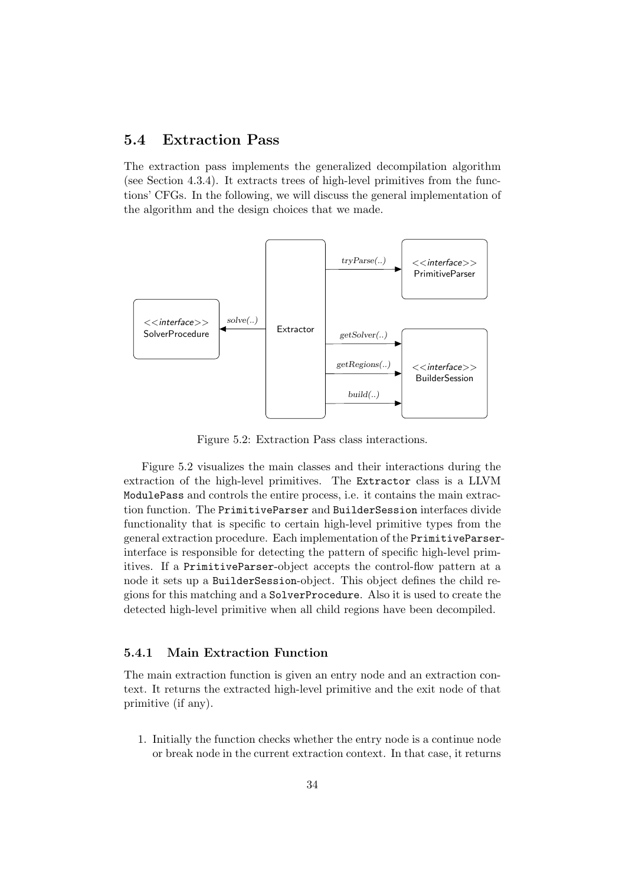## 5.4 Extraction Pass

The extraction pass implements the generalized decompilation algorithm (see Section 4.3.4). It extracts trees of high-level primitives from the functions' CFGs. In the following, we will discuss the general implementation of the algorithm and the design choices that we made.



Figure 5.2: Extraction Pass class interactions.

Figure 5.2 visualizes the main classes and their interactions during the extraction of the high-level primitives. The Extractor class is a LLVM ModulePass and controls the entire process, i.e. it contains the main extraction function. The PrimitiveParser and BuilderSession interfaces divide functionality that is specific to certain high-level primitive types from the general extraction procedure. Each implementation of the PrimitiveParserinterface is responsible for detecting the pattern of specific high-level primitives. If a PrimitiveParser-object accepts the control-flow pattern at a node it sets up a BuilderSession-object. This object defines the child regions for this matching and a SolverProcedure. Also it is used to create the detected high-level primitive when all child regions have been decompiled.

## 5.4.1 Main Extraction Function

The main extraction function is given an entry node and an extraction context. It returns the extracted high-level primitive and the exit node of that primitive (if any).

1. Initially the function checks whether the entry node is a continue node or break node in the current extraction context. In that case, it returns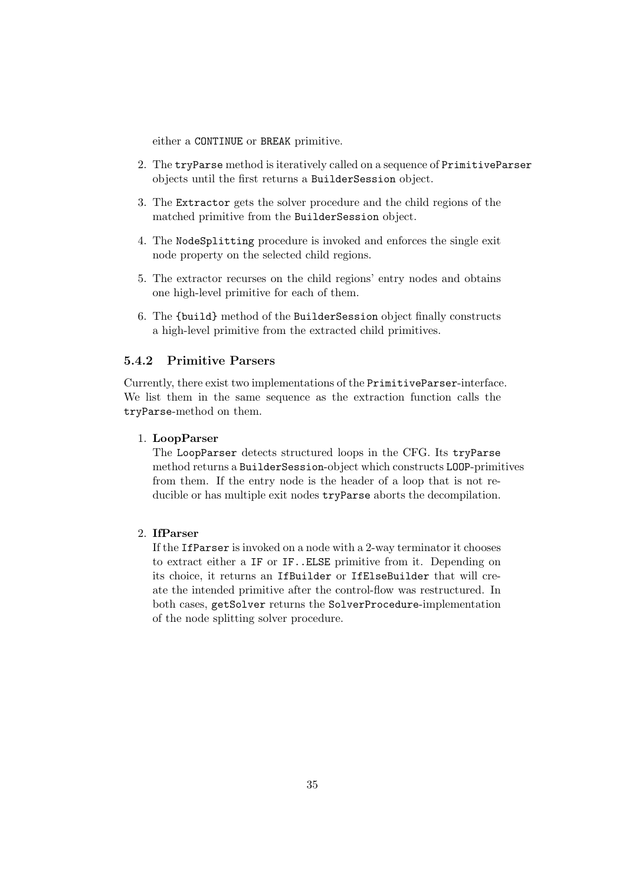either a CONTINUE or BREAK primitive.

- 2. The tryParse method is iteratively called on a sequence of PrimitiveParser objects until the first returns a BuilderSession object.
- 3. The Extractor gets the solver procedure and the child regions of the matched primitive from the BuilderSession object.
- 4. The NodeSplitting procedure is invoked and enforces the single exit node property on the selected child regions.
- 5. The extractor recurses on the child regions' entry nodes and obtains one high-level primitive for each of them.
- 6. The {build} method of the BuilderSession object finally constructs a high-level primitive from the extracted child primitives.

## 5.4.2 Primitive Parsers

Currently, there exist two implementations of the PrimitiveParser-interface. We list them in the same sequence as the extraction function calls the tryParse-method on them.

#### 1. LoopParser

The LoopParser detects structured loops in the CFG. Its tryParse method returns a BuilderSession-object which constructs LOOP-primitives from them. If the entry node is the header of a loop that is not reducible or has multiple exit nodes tryParse aborts the decompilation.

## 2. IfParser

If the IfParser is invoked on a node with a 2-way terminator it chooses to extract either a IF or IF..ELSE primitive from it. Depending on its choice, it returns an IfBuilder or IfElseBuilder that will create the intended primitive after the control-flow was restructured. In both cases, getSolver returns the SolverProcedure-implementation of the node splitting solver procedure.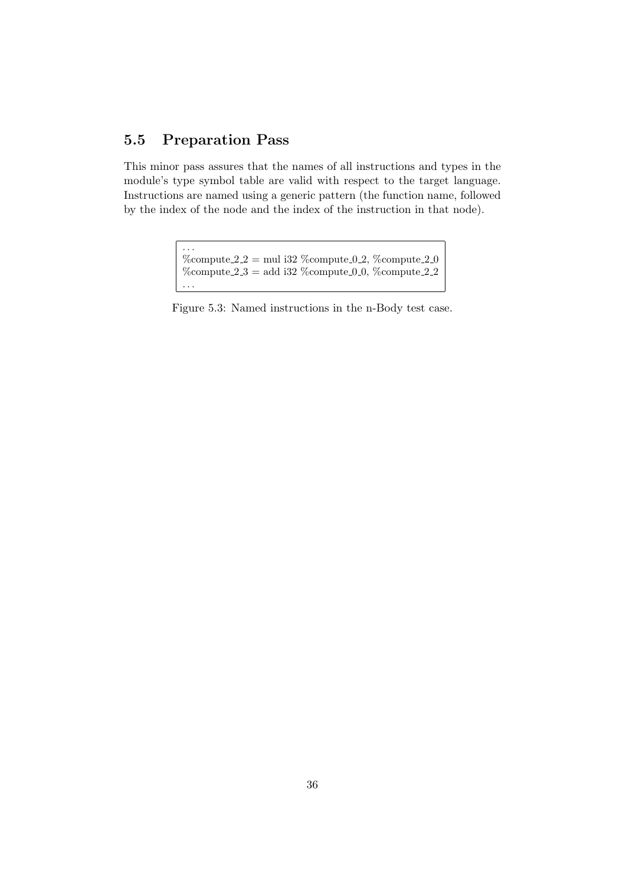## 5.5 Preparation Pass

This minor pass assures that the names of all instructions and types in the module's type symbol table are valid with respect to the target language. Instructions are named using a generic pattern (the function name, followed by the index of the node and the index of the instruction in that node).

> . . .  $\%$ compute 2.2 = mul i32  $\%$ compute 0.2,  $\%$ compute 2.0 %compute  $2.3 =$  add i32 %compute 0.0, %compute 2.2 . . .

Figure 5.3: Named instructions in the n-Body test case.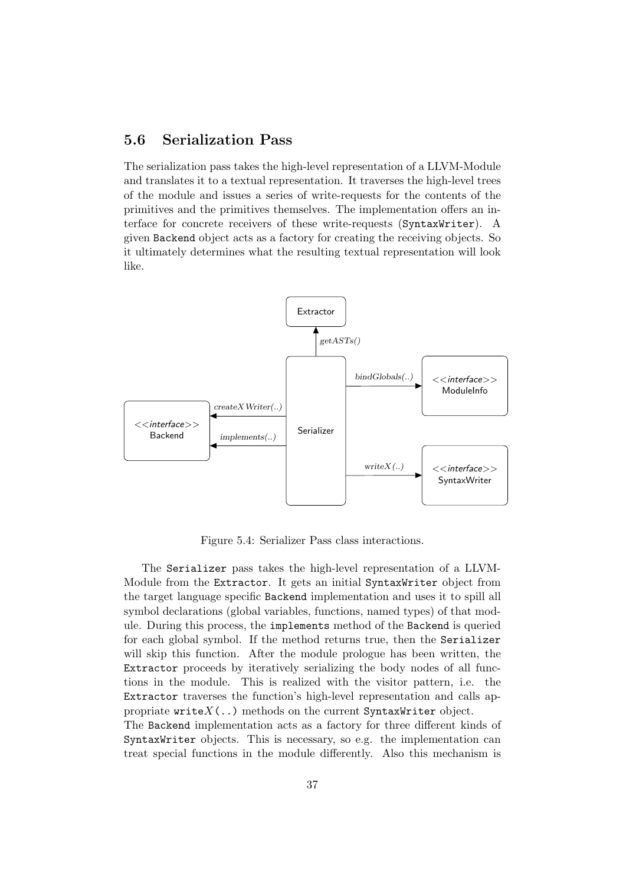## 5.6 Serialization Pass

The serialization pass takes the high-level representation of a LLVM-Module and translates it to a textual representation. It traverses the high-level trees of the module and issues a series of write-requests for the contents of the primitives and the primitives themselves. The implementation offers an interface for concrete receivers of these write-requests (SyntaxWriter). A given Backend object acts as a factory for creating the receiving objects. So it ultimately determines what the resulting textual representation will look like.



Figure 5.4: Serializer Pass class interactions.

The Serializer pass takes the high-level representation of a LLVM-Module from the Extractor. It gets an initial SyntaxWriter object from the target language specific Backend implementation and uses it to spill all symbol declarations (global variables, functions, named types) of that module. During this process, the implements method of the Backend is queried for each global symbol. If the method returns true, then the Serializer will skip this function. After the module prologue has been written, the Extractor proceeds by iteratively serializing the body nodes of all functions in the module. This is realized with the visitor pattern, i.e. the Extractor traverses the function's high-level representation and calls appropriate  $writeX(.)$  methods on the current SyntaxWriter object.

The Backend implementation acts as a factory for three different kinds of SyntaxWriter objects. This is necessary, so e.g. the implementation can treat special functions in the module differently. Also this mechanism is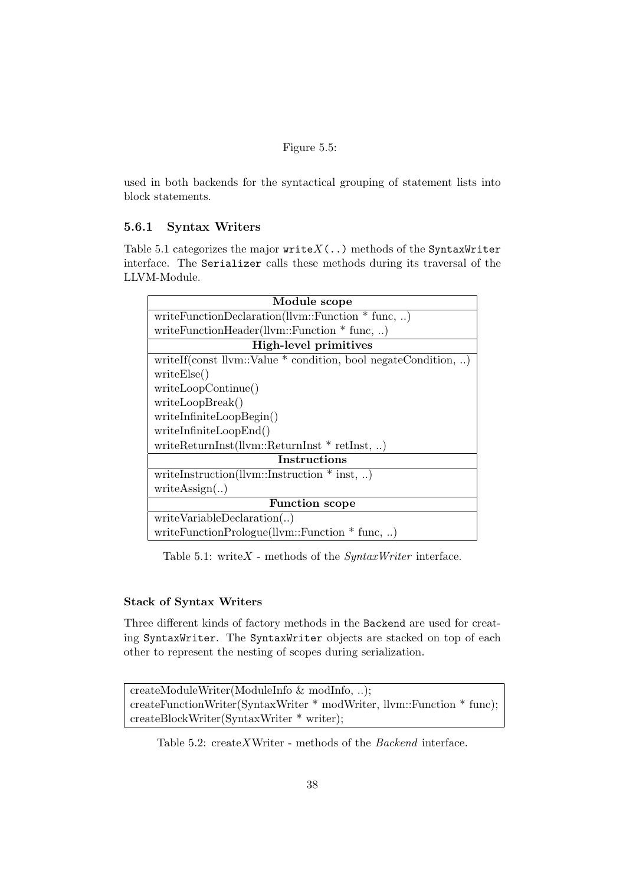#### Figure 5.5:

used in both backends for the syntactical grouping of statement lists into block statements.

## 5.6.1 Syntax Writers

Table 5.1 categorizes the major  $writeX(.)$  methods of the SyntaxWriter interface. The Serializer calls these methods during its traversal of the LLVM-Module.

| Module scope                                                   |  |  |
|----------------------------------------------------------------|--|--|
| writeFunctionDeclaration(llvm::Function $*$ func, )            |  |  |
| writeFunctionHeader(llvm::Function $*$ func, )                 |  |  |
| High-level primitives                                          |  |  |
| writeIf(const llvm::Value * condition, bool negateCondition, ) |  |  |
| writeElse()                                                    |  |  |
| writeLoopContinue()                                            |  |  |
| writeLoopBreak()                                               |  |  |
| writeInfiniteLoopBegin()                                       |  |  |
| writeInfiniteLoopEnd()                                         |  |  |
| writeReturnInst( $llvm::ReturnInst * retInst, $ )              |  |  |
| Instructions                                                   |  |  |
| writeInstruction(llvm::Instruction $*$ inst, )                 |  |  |
| writeAssign()                                                  |  |  |
| <b>Function scope</b>                                          |  |  |
| writeVariable Declaration()                                    |  |  |
| writeFunctionPrologue(llvm::Function $*$ func, )               |  |  |

Table 5.1: write $X$  - methods of the  $SyntaxWriter$  interface.

### Stack of Syntax Writers

Three different kinds of factory methods in the Backend are used for creating SyntaxWriter. The SyntaxWriter objects are stacked on top of each other to represent the nesting of scopes during serialization.

```
createModuleWriter(ModuleInfo & modInfo, ..);
createFunctionWriter(SyntaxWriter * modWriter, llvm::Function * func);
createBlockWriter(SyntaxWriter * writer);
```
Table 5.2: createXWriter - methods of the Backend interface.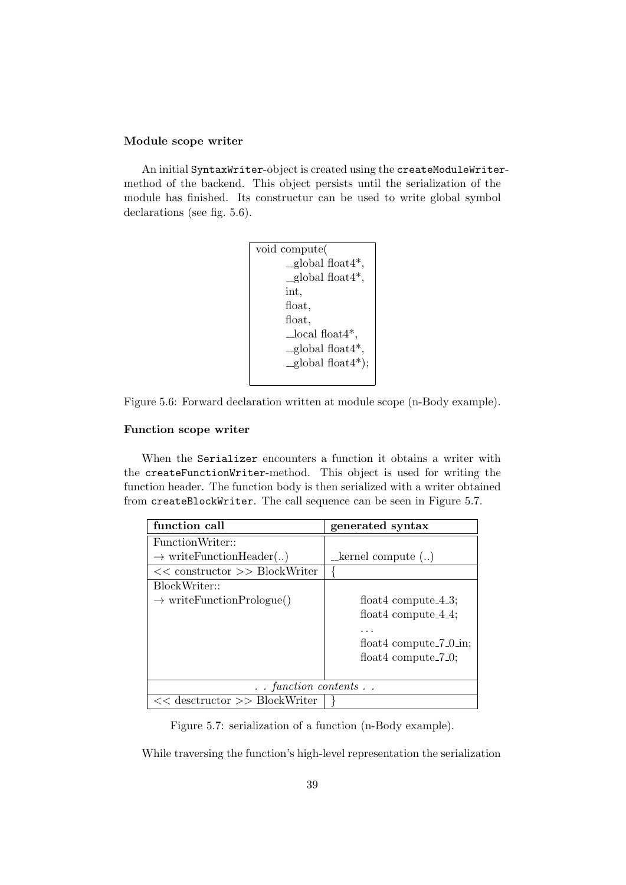#### Module scope writer

An initial SyntaxWriter-object is created using the createModuleWritermethod of the backend. This object persists until the serialization of the module has finished. Its constructur can be used to write global symbol declarations (see fig. 5.6).

```
void compute(
       \text{-global float4}^*,
       global float4*,
       int,
       float,
       float,
       \textcolor{gray}{\text{Local float4}}^*,
       global float4*,
       -global float4^*);
```


#### Function scope writer

When the Serializer encounters a function it obtains a writer with the createFunctionWriter-method. This object is used for writing the function header. The function body is then serialized with a writer obtained from createBlockWriter. The call sequence can be seen in Figure 5.7.

| function call                           | generated syntax              |  |
|-----------------------------------------|-------------------------------|--|
| FunctionWriter::                        |                               |  |
| $\rightarrow$ write Function Header()   | kernel compute ()             |  |
| $<<$ constructor $>>$ BlockWriter       |                               |  |
| BlockWriter::                           |                               |  |
| $\rightarrow$ write Function Prologue() | float 4 compute $-4.3$ ;      |  |
|                                         | float 4 compute $-4.4$ ;      |  |
|                                         |                               |  |
|                                         | float 4 compute $-7$ $-0$ in; |  |
|                                         | float 4 compute $-7$ $-0$ ;   |  |
|                                         |                               |  |
| $\ldots$ function contents $\ldots$     |                               |  |
| $<<$ desctructor $>>$ BlockWriter       |                               |  |

Figure 5.7: serialization of a function (n-Body example).

While traversing the function's high-level representation the serialization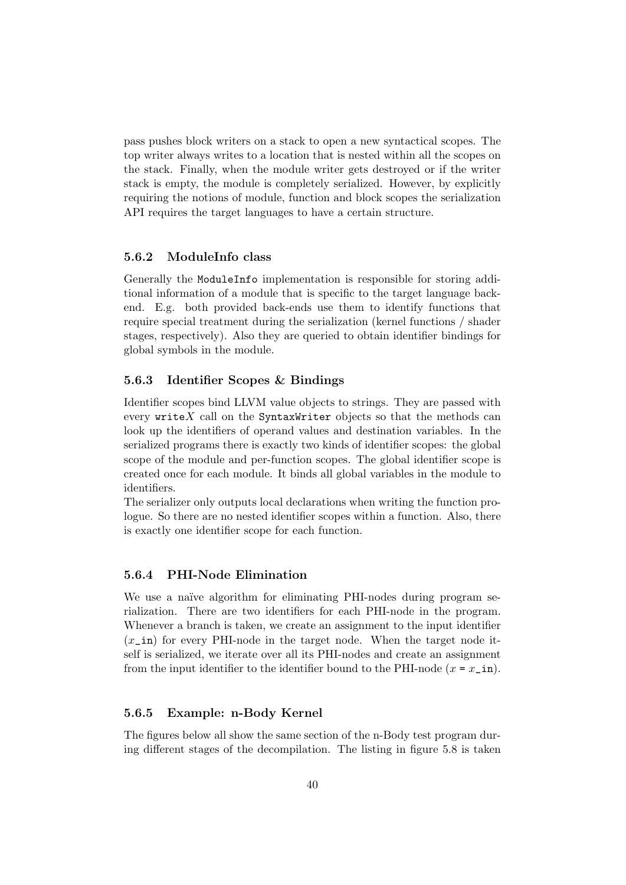pass pushes block writers on a stack to open a new syntactical scopes. The top writer always writes to a location that is nested within all the scopes on the stack. Finally, when the module writer gets destroyed or if the writer stack is empty, the module is completely serialized. However, by explicitly requiring the notions of module, function and block scopes the serialization API requires the target languages to have a certain structure.

#### 5.6.2 ModuleInfo class

Generally the ModuleInfo implementation is responsible for storing additional information of a module that is specific to the target language backend. E.g. both provided back-ends use them to identify functions that require special treatment during the serialization (kernel functions / shader stages, respectively). Also they are queried to obtain identifier bindings for global symbols in the module.

### 5.6.3 Identifier Scopes & Bindings

Identifier scopes bind LLVM value objects to strings. They are passed with every write  $X$  call on the SyntaxWriter objects so that the methods can look up the identifiers of operand values and destination variables. In the serialized programs there is exactly two kinds of identifier scopes: the global scope of the module and per-function scopes. The global identifier scope is created once for each module. It binds all global variables in the module to identifiers.

The serializer only outputs local declarations when writing the function prologue. So there are no nested identifier scopes within a function. Also, there is exactly one identifier scope for each function.

### 5.6.4 PHI-Node Elimination

We use a naïve algorithm for eliminating PHI-nodes during program serialization. There are two identifiers for each PHI-node in the program. Whenever a branch is taken, we create an assignment to the input identifier  $(x_i$  in) for every PHI-node in the target node. When the target node itself is serialized, we iterate over all its PHI-nodes and create an assignment from the input identifier to the identifier bound to the PHI-node  $(x = x \cdot \text{in}).$ 

#### 5.6.5 Example: n-Body Kernel

The figures below all show the same section of the n-Body test program during different stages of the decompilation. The listing in figure 5.8 is taken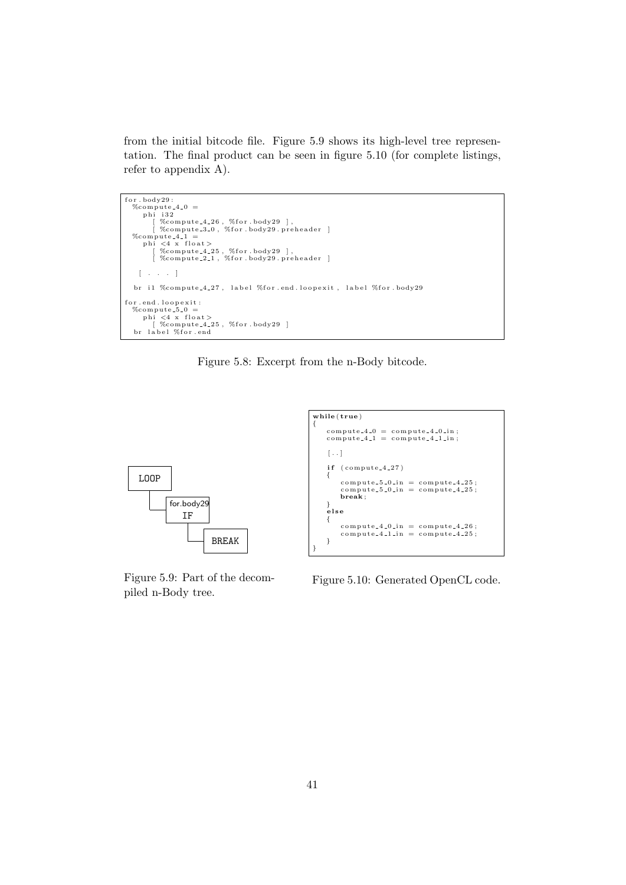from the initial bitcode file. Figure 5.9 shows its high-level tree representation. The final product can be seen in figure 5.10 (for complete listings, refer to appendix A).

```
for . body29:\%compute 4.0 =<br>
phi i32<br>
[ %compute 4.26, %for .body29 ],<br>
[ %compute 3.0, %for .body29.preheader ]
   %compute 4.1 =<br>
phi <4 x float><br>
[ %compute 4.25, %for.body29 ],<br>
[ %compute 2.1, %for.body29.preheader ]
     [ . . . ]
   br il %compute_4_27, label %for.end.loopexit, label %for.body29
for.end.loopexit:<br>"%compute.5.0 =<br>phi <4 x float><br>| %compute.4.25, %for.body29 |
   br label %for.end
```
Figure 5.8: Excerpt from the n-Body bitcode.



Figure 5.9: Part of the decompiled n-Body tree.

Figure 5.10: Generated OpenCL code.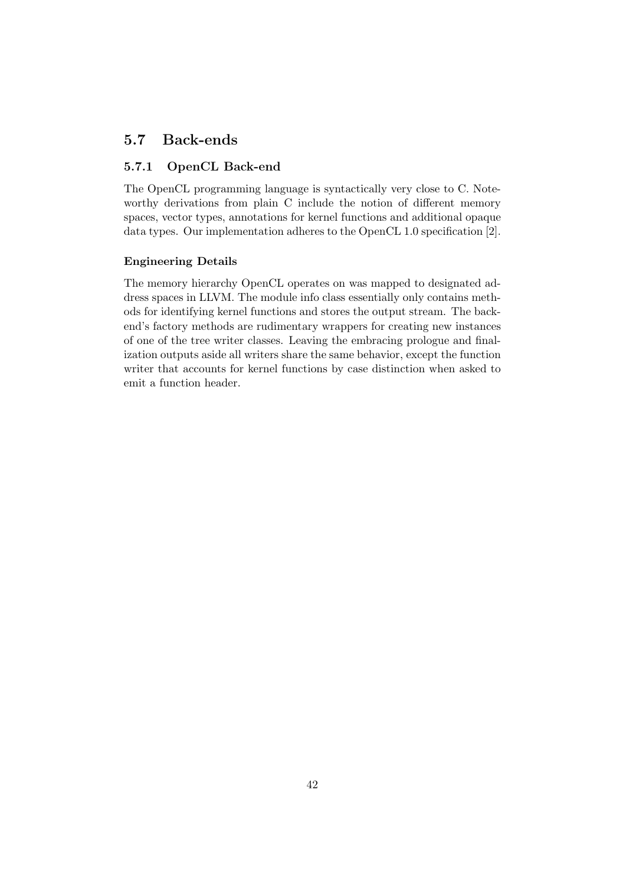## 5.7 Back-ends

## 5.7.1 OpenCL Back-end

The OpenCL programming language is syntactically very close to C. Noteworthy derivations from plain C include the notion of different memory spaces, vector types, annotations for kernel functions and additional opaque data types. Our implementation adheres to the OpenCL 1.0 specification [2].

### Engineering Details

The memory hierarchy OpenCL operates on was mapped to designated address spaces in LLVM. The module info class essentially only contains methods for identifying kernel functions and stores the output stream. The backend's factory methods are rudimentary wrappers for creating new instances of one of the tree writer classes. Leaving the embracing prologue and finalization outputs aside all writers share the same behavior, except the function writer that accounts for kernel functions by case distinction when asked to emit a function header.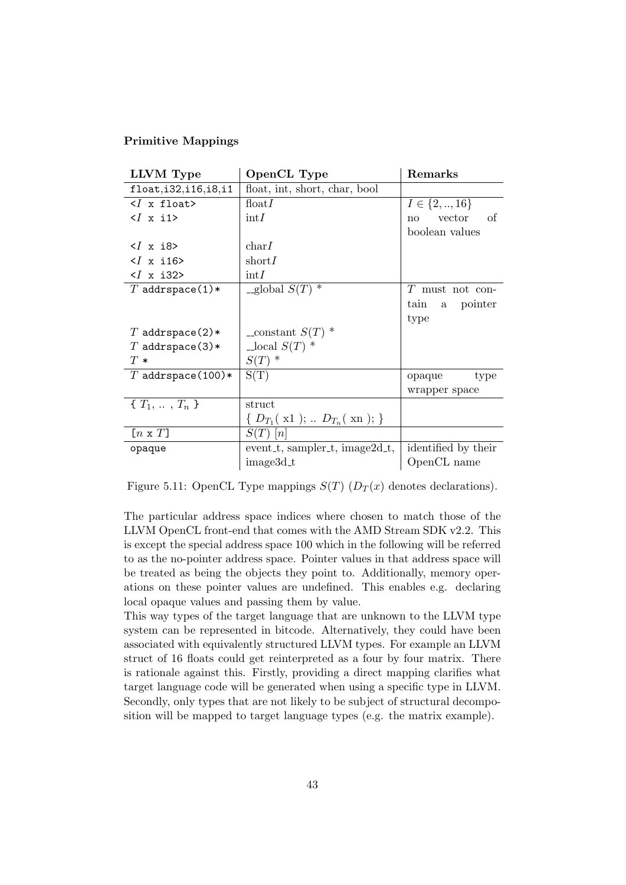#### Primitive Mappings

| LLVM Type                              | OpenCL Type                     | Remarks              |  |
|----------------------------------------|---------------------------------|----------------------|--|
| float, i32, i16, i8, i1                | float, int, short, char, bool   |                      |  |
| $\langle I \times \text{float}\rangle$ | $\text{float}I$                 | $I \in \{2, , 16\}$  |  |
| $\langle$ <i>(x i1&gt;</i>             | $\mathrm{int}I$                 | - of<br>vector<br>no |  |
|                                        |                                 | boolean values       |  |
| $\langle$ <i>(x i8</i> $\rangle$       | char I                          |                      |  |
| $\langle$ <i>I</i> x i16>              | short I                         |                      |  |
| $\langle I \times 132 \rangle$         | $\mathrm{int}I$                 |                      |  |
| T addrspace $(1)$ *                    | -global $S(T)$ <sup>*</sup>     | $T$ must not con-    |  |
|                                        |                                 | tain a<br>pointer    |  |
|                                        |                                 | type                 |  |
| T addrspace $(2)*$                     | $\text{\_}constant} S(T)$ *     |                      |  |
| T addrspace(3)*                        | $\perp$ local $S(T)$ *          |                      |  |
| $T*$                                   | $S(T)$ *                        |                      |  |
| $T$ addrspace(100)*                    | S(T)                            | opaque<br>type       |  |
|                                        |                                 | wrapper space        |  |
| $\{T_1, \ldots, T_n\}$                 | struct                          |                      |  |
|                                        | { $D_{T_1}(x1); D_{T_n}(xn);$ } |                      |  |
| $[n \times T]$                         | $S(T)$ [n]                      |                      |  |
| opaque                                 | event_t, sampler_t, image2d_t,  | identified by their  |  |
|                                        | image3d_t                       | OpenCL name          |  |

Figure 5.11: OpenCL Type mappings  $S(T)$  ( $D_T(x)$ ) denotes declarations).

The particular address space indices where chosen to match those of the LLVM OpenCL front-end that comes with the AMD Stream SDK v2.2. This is except the special address space 100 which in the following will be referred to as the no-pointer address space. Pointer values in that address space will be treated as being the objects they point to. Additionally, memory operations on these pointer values are undefined. This enables e.g. declaring local opaque values and passing them by value.

This way types of the target language that are unknown to the LLVM type system can be represented in bitcode. Alternatively, they could have been associated with equivalently structured LLVM types. For example an LLVM struct of 16 floats could get reinterpreted as a four by four matrix. There is rationale against this. Firstly, providing a direct mapping clarifies what target language code will be generated when using a specific type in LLVM. Secondly, only types that are not likely to be subject of structural decomposition will be mapped to target language types (e.g. the matrix example).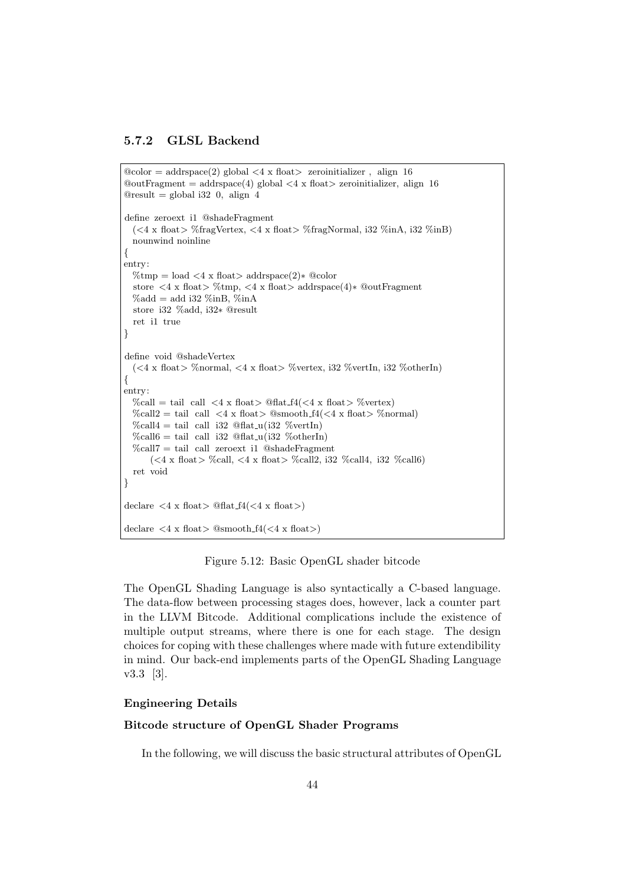#### 5.7.2 GLSL Backend

```
@color = addrspace(2) global < 4 \times float > zero initializer, align 16\textcircled{a} addrspace(4) global <4 x float > zeroinitializer, align 16
@result = global i32 0, align 4define zeroext i1 @shadeFragment
  (<4 x float> %fragVertex, <4 x float> %fragNormal, i32 %inA, i32 %inB)
  nounwind noinline
{
entry:
  %tmp = load <4 x float> addrspace(2)∗ @color
  store \langle 4 \times \text{float}\rangle % tmp, \langle 4 \times \text{float}\rangle addrspace(4)* @outFragment
  \%add = add i32 %inB, %inA
  store i32 %add, i32∗ @result
  ret i1 true
}
define void @shadeVertex
  (<4 x float> %normal, <4 x float> %vertex, i32 %vertIn, i32 %otherIn)
{
entry:
  \%call = tail call <4 x float \& \& float \& float \& \& float \& \& \& float \&\%call2 = tail call <4 x float> \%smooth f4(<4 x float> \%normal)
  \%call4 = tail call i32 \mathcal{Q}flat_u(i32 \%vertIn)
  \%call6 = tail call i32 \mathcal{Q}flat u(i32 \%otherIn)
  \%call7 = tail call zeroext i1 @shadeFragment\langle <4 x float > %call, <4 x float > %call2, i32 %call4, i32 %call6)
  ret void
}
declare \langle 4 \times \text{float} \rangle @flat_f4(\langle 4 \times \text{float} \rangle)
declare \langle 4 \times \text{float}\rangle @smooth_f4(\langle 4 \times \text{float}\rangle)
```
Figure 5.12: Basic OpenGL shader bitcode

The OpenGL Shading Language is also syntactically a C-based language. The data-flow between processing stages does, however, lack a counter part in the LLVM Bitcode. Additional complications include the existence of multiple output streams, where there is one for each stage. The design choices for coping with these challenges where made with future extendibility in mind. Our back-end implements parts of the OpenGL Shading Language v3.3 [3].

## Engineering Details

### Bitcode structure of OpenGL Shader Programs

In the following, we will discuss the basic structural attributes of OpenGL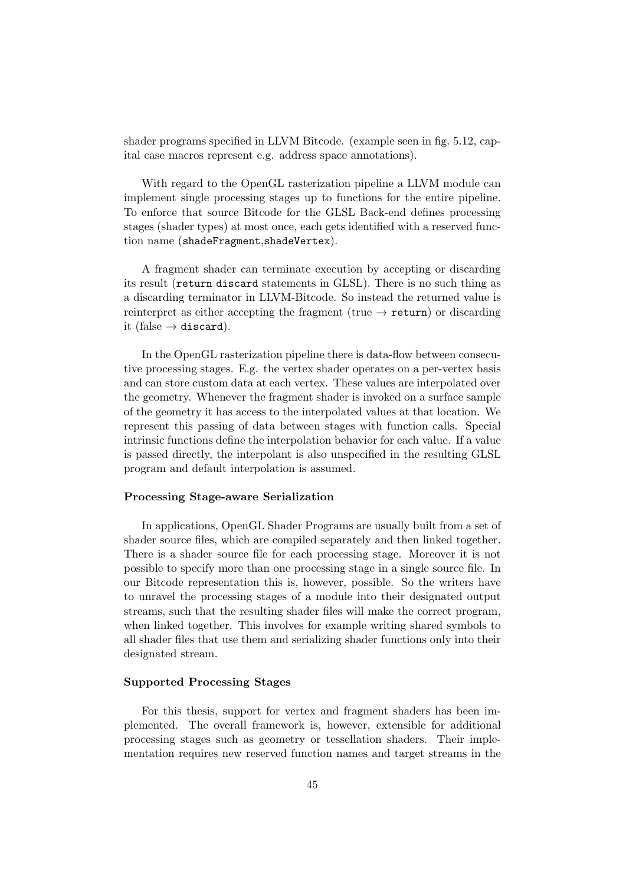shader programs specified in LLVM Bitcode. (example seen in fig. 5.12, capital case macros represent e.g. address space annotations).

With regard to the OpenGL rasterization pipeline a LLVM module can implement single processing stages up to functions for the entire pipeline. To enforce that source Bitcode for the GLSL Back-end defines processing stages (shader types) at most once, each gets identified with a reserved function name (shadeFragment,shadeVertex).

A fragment shader can terminate execution by accepting or discarding its result (return discard statements in GLSL). There is no such thing as a discarding terminator in LLVM-Bitcode. So instead the returned value is reinterpret as either accepting the fragment (true  $\rightarrow$  return) or discarding it (false  $\rightarrow$  discard).

In the OpenGL rasterization pipeline there is data-flow between consecutive processing stages. E.g. the vertex shader operates on a per-vertex basis and can store custom data at each vertex. These values are interpolated over the geometry. Whenever the fragment shader is invoked on a surface sample of the geometry it has access to the interpolated values at that location. We represent this passing of data between stages with function calls. Special intrinsic functions define the interpolation behavior for each value. If a value is passed directly, the interpolant is also unspecified in the resulting GLSL program and default interpolation is assumed.

#### Processing Stage-aware Serialization

In applications, OpenGL Shader Programs are usually built from a set of shader source files, which are compiled separately and then linked together. There is a shader source file for each processing stage. Moreover it is not possible to specify more than one processing stage in a single source file. In our Bitcode representation this is, however, possible. So the writers have to unravel the processing stages of a module into their designated output streams, such that the resulting shader files will make the correct program, when linked together. This involves for example writing shared symbols to all shader files that use them and serializing shader functions only into their designated stream.

#### Supported Processing Stages

For this thesis, support for vertex and fragment shaders has been implemented. The overall framework is, however, extensible for additional processing stages such as geometry or tessellation shaders. Their implementation requires new reserved function names and target streams in the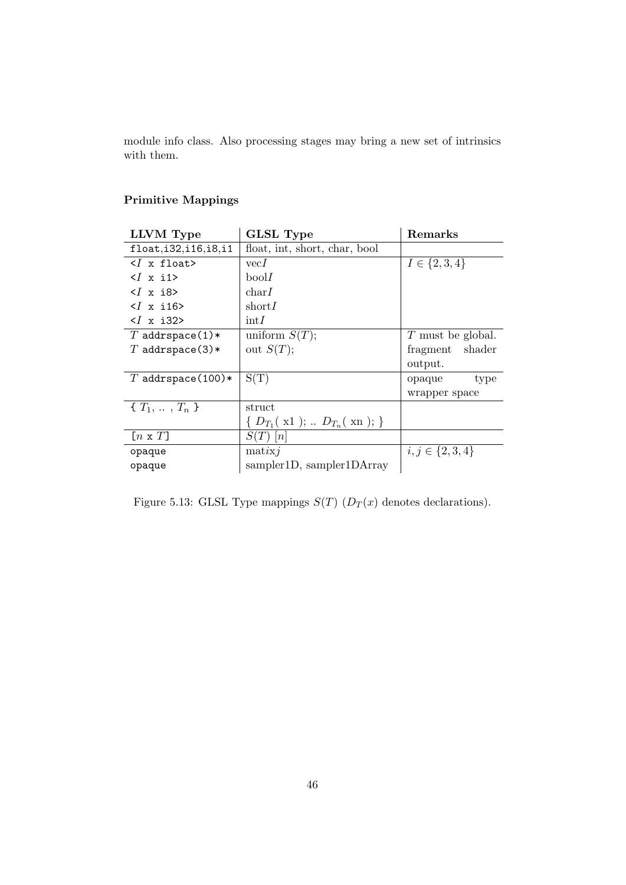module info class. Also processing stages may bring a new set of intrinsics with them.

## Primitive Mappings

| LLVM Type                        | <b>GLSL Type</b>                            | Remarks             |  |
|----------------------------------|---------------------------------------------|---------------------|--|
| float,i32,i16,i8,i1              | float, int, short, char, bool               |                     |  |
| $\langle$ x float>               | vecI                                        | $I \in \{2, 3, 4\}$ |  |
| $\langle$ <i>l</i> x i1>         | boolI                                       |                     |  |
| $\langle$ <i>(x i8</i> $\rangle$ | char I                                      |                     |  |
| $\langle$ <i>(x i16&gt;</i>      | short I                                     |                     |  |
| $\langle$ <i>(x i32&gt;</i> )    | $\mathrm{int}I$                             |                     |  |
| $T$ addrspace(1)*                | uniform $S(T)$ ;                            | T must be global.   |  |
| T addrspace(3)*                  | out $S(T)$ ;                                | fragment shader     |  |
|                                  |                                             | output.             |  |
| T addrspace $(100)*$             | S(T)                                        | type<br>opaque      |  |
|                                  |                                             | wrapper space       |  |
| $\{T_1, \ldots, T_n\}$           | struct                                      |                     |  |
|                                  | $\{ D_{T_1}(x1);\, .\, D_{T_n}(xn);\}$      |                     |  |
| $[n \times T]$                   | $S(T)$ [n]                                  |                     |  |
| opaque                           | $i, j \in \{2, 3, 4\}$<br>$\text{matrix}$ j |                     |  |
| opaque                           | sampler1D, sampler1DArray                   |                     |  |

Figure 5.13: GLSL Type mappings  $S(T)$  ( $D_T(x)$  denotes declarations).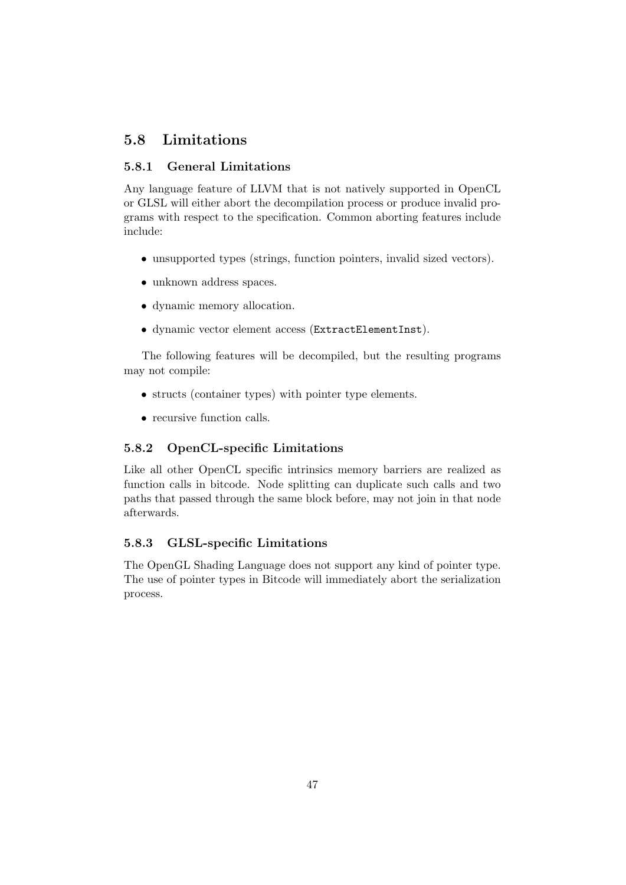## 5.8 Limitations

## 5.8.1 General Limitations

Any language feature of LLVM that is not natively supported in OpenCL or GLSL will either abort the decompilation process or produce invalid programs with respect to the specification. Common aborting features include include:

- unsupported types (strings, function pointers, invalid sized vectors).
- unknown address spaces.
- dynamic memory allocation.
- dynamic vector element access (ExtractElementInst).

The following features will be decompiled, but the resulting programs may not compile:

- structs (container types) with pointer type elements.
- recursive function calls.

## 5.8.2 OpenCL-specific Limitations

Like all other OpenCL specific intrinsics memory barriers are realized as function calls in bitcode. Node splitting can duplicate such calls and two paths that passed through the same block before, may not join in that node afterwards.

## 5.8.3 GLSL-specific Limitations

The OpenGL Shading Language does not support any kind of pointer type. The use of pointer types in Bitcode will immediately abort the serialization process.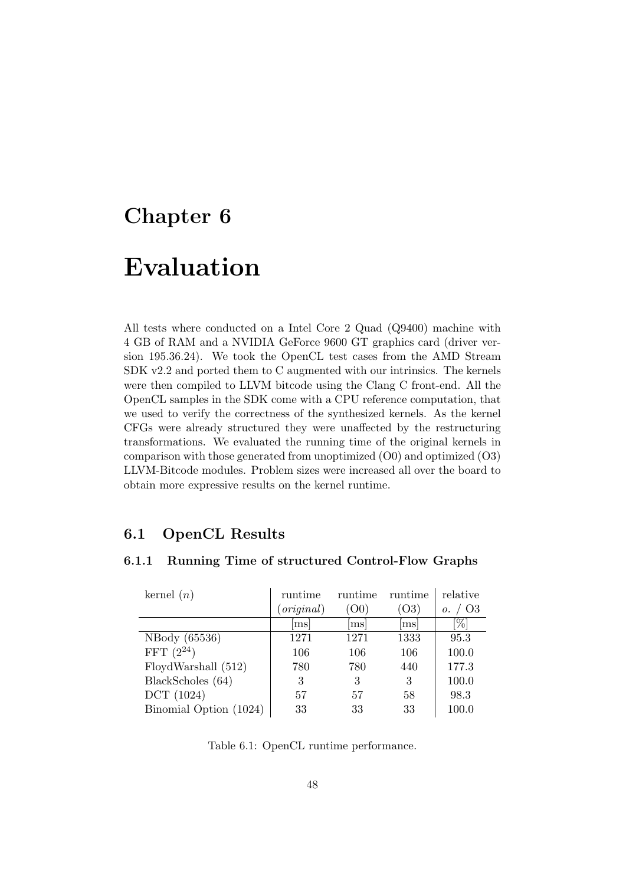## Chapter 6

## Evaluation

All tests where conducted on a Intel Core 2 Quad (Q9400) machine with 4 GB of RAM and a NVIDIA GeForce 9600 GT graphics card (driver version 195.36.24). We took the OpenCL test cases from the AMD Stream SDK v2.2 and ported them to C augmented with our intrinsics. The kernels were then compiled to LLVM bitcode using the Clang C front-end. All the OpenCL samples in the SDK come with a CPU reference computation, that we used to verify the correctness of the synthesized kernels. As the kernel CFGs were already structured they were unaffected by the restructuring transformations. We evaluated the running time of the original kernels in comparison with those generated from unoptimized (O0) and optimized (O3) LLVM-Bitcode modules. Problem sizes were increased all over the board to obtain more expressive results on the kernel runtime.

## 6.1 OpenCL Results

| kernel $(n)$           | runtime    | runtime        | runtime | relative             |
|------------------------|------------|----------------|---------|----------------------|
|                        | (original) | (00)           | (O3)    | O <sub>3</sub><br>0. |
|                        | ms         | m <sub>S</sub> | ms      | [%]                  |
| NBody (65536)          | 1271       | 1271           | 1333    | 95.3                 |
| FFT $(2^{24})$         | 106        | 106            | 106     | 100.0                |
| FloydWarshall (512)    | 780        | 780            | 440     | 177.3                |
| BlackScholes (64)      | 3          | 3              | 3       | 100.0                |
| DCT (1024)             | 57         | 57             | 58      | 98.3                 |
| Binomial Option (1024) | 33         | 33             | 33      | 100.0                |

## 6.1.1 Running Time of structured Control-Flow Graphs

Table 6.1: OpenCL runtime performance.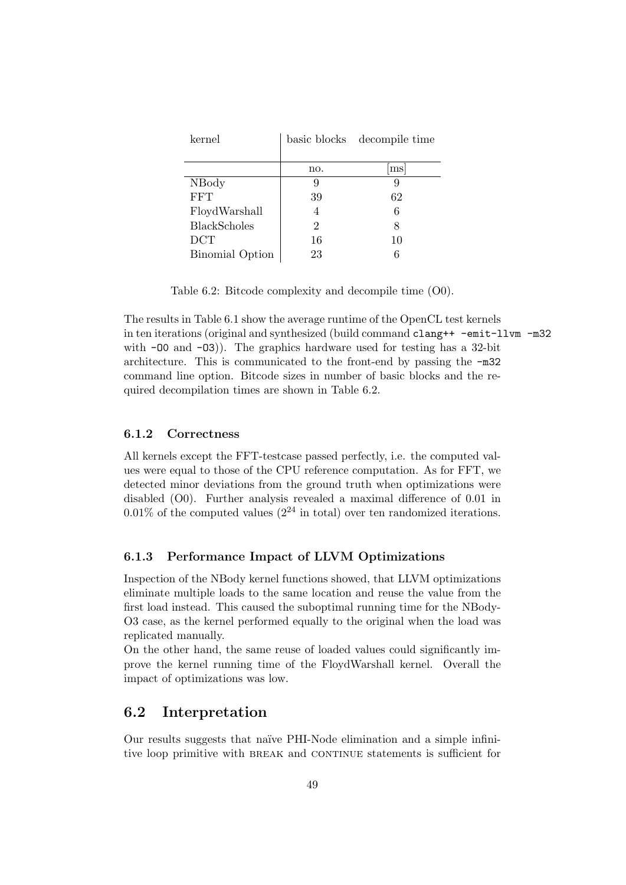| kernel              |     | basic blocks decompile time |
|---------------------|-----|-----------------------------|
|                     |     |                             |
|                     | no. | ms                          |
| NBody               |     | 9                           |
| FFT                 | 39  | 62                          |
| FloydWarshall       |     | 6                           |
| <b>BlackScholes</b> | 2   | 8                           |
| DCT                 | 16  | 10                          |
| Binomial Option     | 23  |                             |

Table 6.2: Bitcode complexity and decompile time (O0).

The results in Table 6.1 show the average runtime of the OpenCL test kernels in ten iterations (original and synthesized (build command clang++ -emit-llvm -m32 with  $-00$  and  $-03$ ). The graphics hardware used for testing has a 32-bit architecture. This is communicated to the front-end by passing the -m32 command line option. Bitcode sizes in number of basic blocks and the required decompilation times are shown in Table 6.2.

## 6.1.2 Correctness

All kernels except the FFT-testcase passed perfectly, i.e. the computed values were equal to those of the CPU reference computation. As for FFT, we detected minor deviations from the ground truth when optimizations were disabled (O0). Further analysis revealed a maximal difference of 0.01 in  $0.01\%$  of the computed values  $(2^{24} \text{ in total})$  over ten randomized iterations.

## 6.1.3 Performance Impact of LLVM Optimizations

Inspection of the NBody kernel functions showed, that LLVM optimizations eliminate multiple loads to the same location and reuse the value from the first load instead. This caused the suboptimal running time for the NBody-O3 case, as the kernel performed equally to the original when the load was replicated manually.

On the other hand, the same reuse of loaded values could significantly improve the kernel running time of the FloydWarshall kernel. Overall the impact of optimizations was low.

## 6.2 Interpretation

Our results suggests that na¨ıve PHI-Node elimination and a simple infinitive loop primitive with BREAK and CONTINUE statements is sufficient for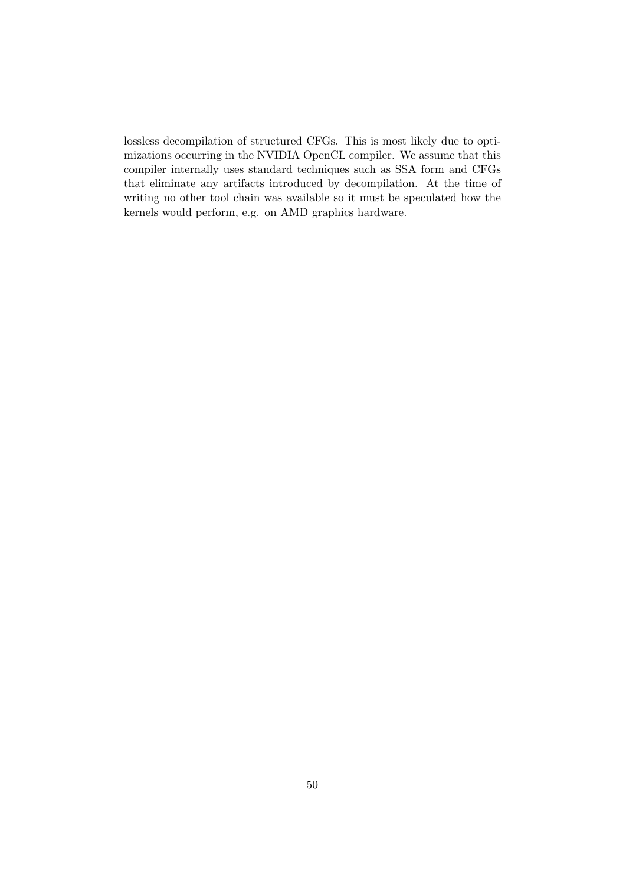lossless decompilation of structured CFGs. This is most likely due to optimizations occurring in the NVIDIA OpenCL compiler. We assume that this compiler internally uses standard techniques such as SSA form and CFGs that eliminate any artifacts introduced by decompilation. At the time of writing no other tool chain was available so it must be speculated how the kernels would perform, e.g. on AMD graphics hardware.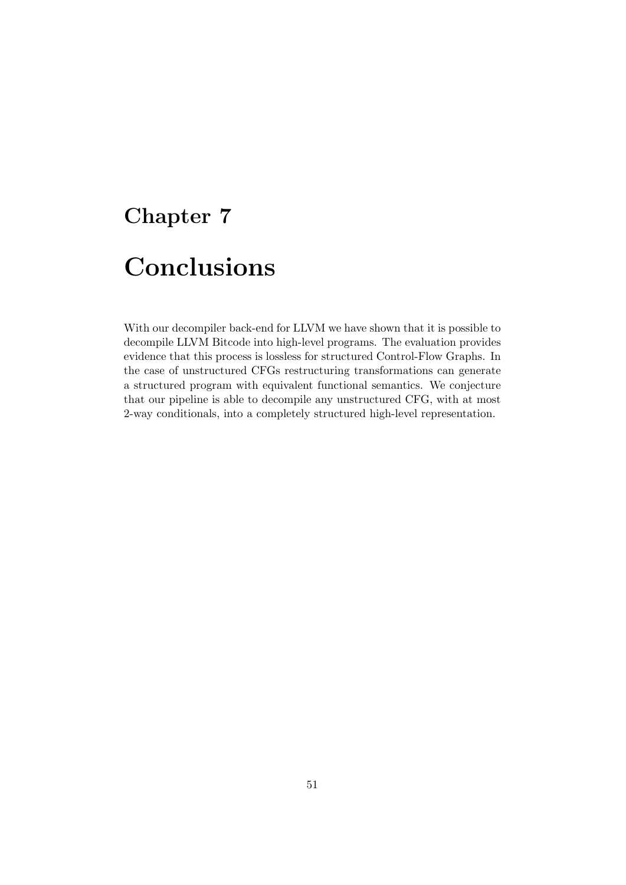# Chapter 7

# Conclusions

With our decompiler back-end for LLVM we have shown that it is possible to decompile LLVM Bitcode into high-level programs. The evaluation provides evidence that this process is lossless for structured Control-Flow Graphs. In the case of unstructured CFGs restructuring transformations can generate a structured program with equivalent functional semantics. We conjecture that our pipeline is able to decompile any unstructured CFG, with at most 2-way conditionals, into a completely structured high-level representation.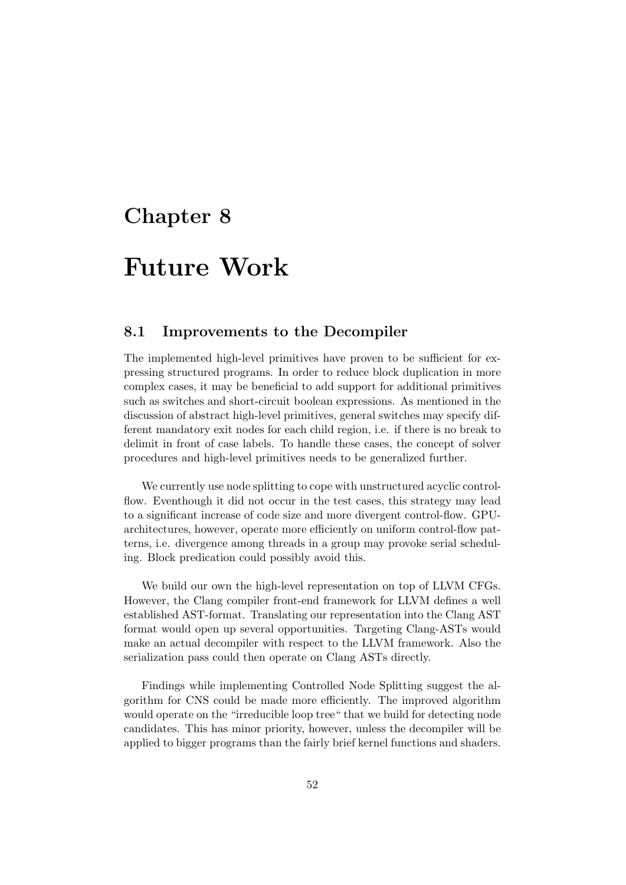## Chapter 8

## Future Work

## 8.1 Improvements to the Decompiler

The implemented high-level primitives have proven to be sufficient for expressing structured programs. In order to reduce block duplication in more complex cases, it may be beneficial to add support for additional primitives such as switches and short-circuit boolean expressions. As mentioned in the discussion of abstract high-level primitives, general switches may specify different mandatory exit nodes for each child region, i.e. if there is no break to delimit in front of case labels. To handle these cases, the concept of solver procedures and high-level primitives needs to be generalized further.

We currently use node splitting to cope with unstructured acyclic controlflow. Eventhough it did not occur in the test cases, this strategy may lead to a significant increase of code size and more divergent control-flow. GPUarchitectures, however, operate more efficiently on uniform control-flow patterns, i.e. divergence among threads in a group may provoke serial scheduling. Block predication could possibly avoid this.

We build our own the high-level representation on top of LLVM CFGs. However, the Clang compiler front-end framework for LLVM defines a well established AST-format. Translating our representation into the Clang AST format would open up several opportunities. Targeting Clang-ASTs would make an actual decompiler with respect to the LLVM framework. Also the serialization pass could then operate on Clang ASTs directly.

Findings while implementing Controlled Node Splitting suggest the algorithm for CNS could be made more efficiently. The improved algorithm would operate on the "irreducible loop tree" that we build for detecting node candidates. This has minor priority, however, unless the decompiler will be applied to bigger programs than the fairly brief kernel functions and shaders.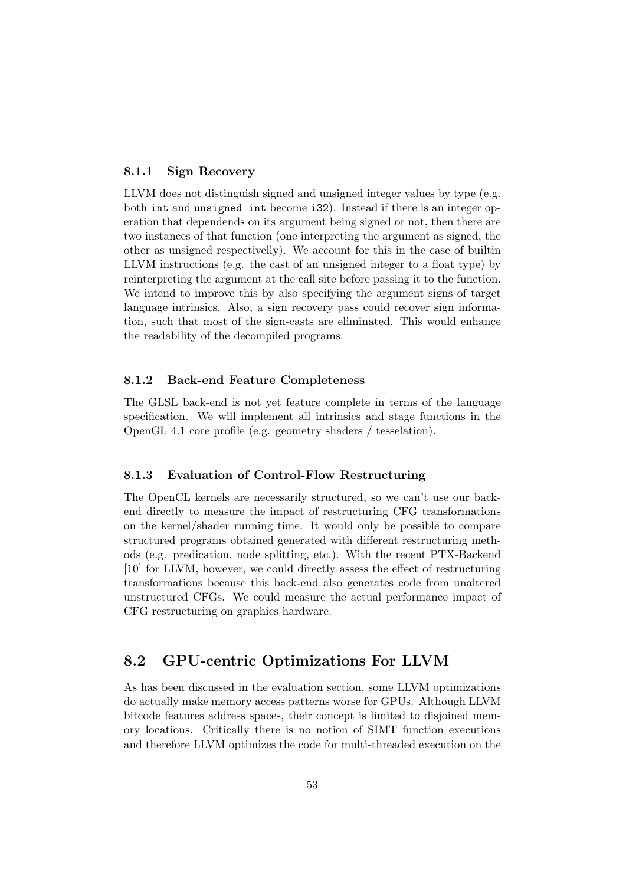### 8.1.1 Sign Recovery

LLVM does not distinguish signed and unsigned integer values by type (e.g. both int and unsigned int become i32). Instead if there is an integer operation that dependends on its argument being signed or not, then there are two instances of that function (one interpreting the argument as signed, the other as unsigned respectivelly). We account for this in the case of builtin LLVM instructions (e.g. the cast of an unsigned integer to a float type) by reinterpreting the argument at the call site before passing it to the function. We intend to improve this by also specifying the argument signs of target language intrinsics. Also, a sign recovery pass could recover sign information, such that most of the sign-casts are eliminated. This would enhance the readability of the decompiled programs.

#### 8.1.2 Back-end Feature Completeness

The GLSL back-end is not yet feature complete in terms of the language specification. We will implement all intrinsics and stage functions in the OpenGL 4.1 core profile (e.g. geometry shaders / tesselation).

## 8.1.3 Evaluation of Control-Flow Restructuring

The OpenCL kernels are necessarily structured, so we can't use our backend directly to measure the impact of restructuring CFG transformations on the kernel/shader running time. It would only be possible to compare structured programs obtained generated with different restructuring methods (e.g. predication, node splitting, etc.). With the recent PTX-Backend [10] for LLVM, however, we could directly assess the effect of restructuring transformations because this back-end also generates code from unaltered unstructured CFGs. We could measure the actual performance impact of CFG restructuring on graphics hardware.

## 8.2 GPU-centric Optimizations For LLVM

As has been discussed in the evaluation section, some LLVM optimizations do actually make memory access patterns worse for GPUs. Although LLVM bitcode features address spaces, their concept is limited to disjoined memory locations. Critically there is no notion of SIMT function executions and therefore LLVM optimizes the code for multi-threaded execution on the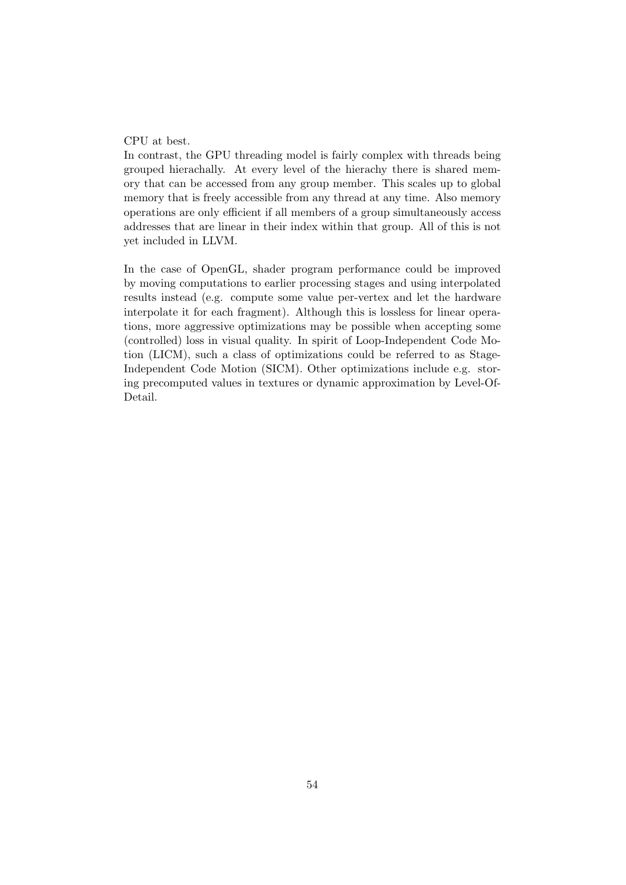#### CPU at best.

In contrast, the GPU threading model is fairly complex with threads being grouped hierachally. At every level of the hierachy there is shared memory that can be accessed from any group member. This scales up to global memory that is freely accessible from any thread at any time. Also memory operations are only efficient if all members of a group simultaneously access addresses that are linear in their index within that group. All of this is not yet included in LLVM.

In the case of OpenGL, shader program performance could be improved by moving computations to earlier processing stages and using interpolated results instead (e.g. compute some value per-vertex and let the hardware interpolate it for each fragment). Although this is lossless for linear operations, more aggressive optimizations may be possible when accepting some (controlled) loss in visual quality. In spirit of Loop-Independent Code Motion (LICM), such a class of optimizations could be referred to as Stage-Independent Code Motion (SICM). Other optimizations include e.g. storing precomputed values in textures or dynamic approximation by Level-Of-Detail.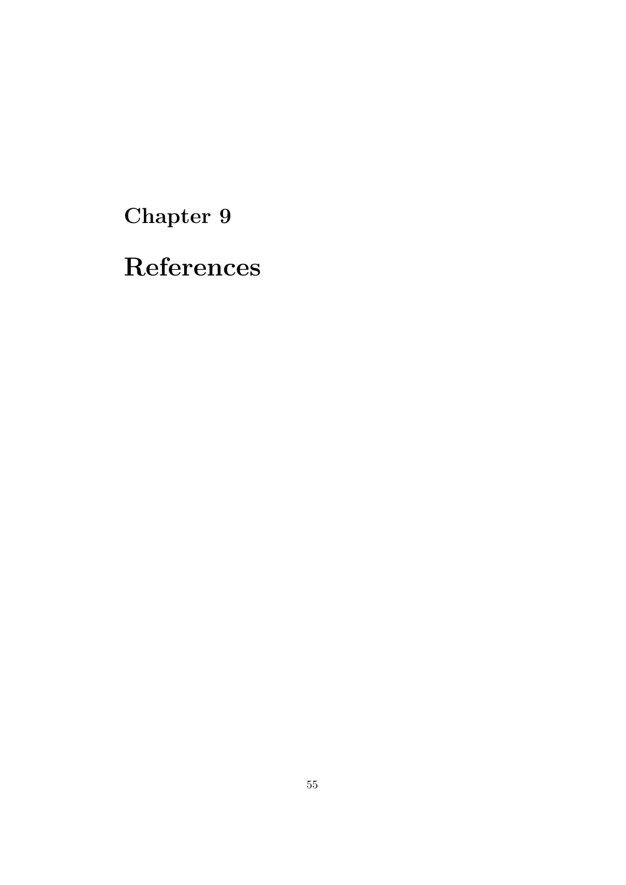Chapter 9

References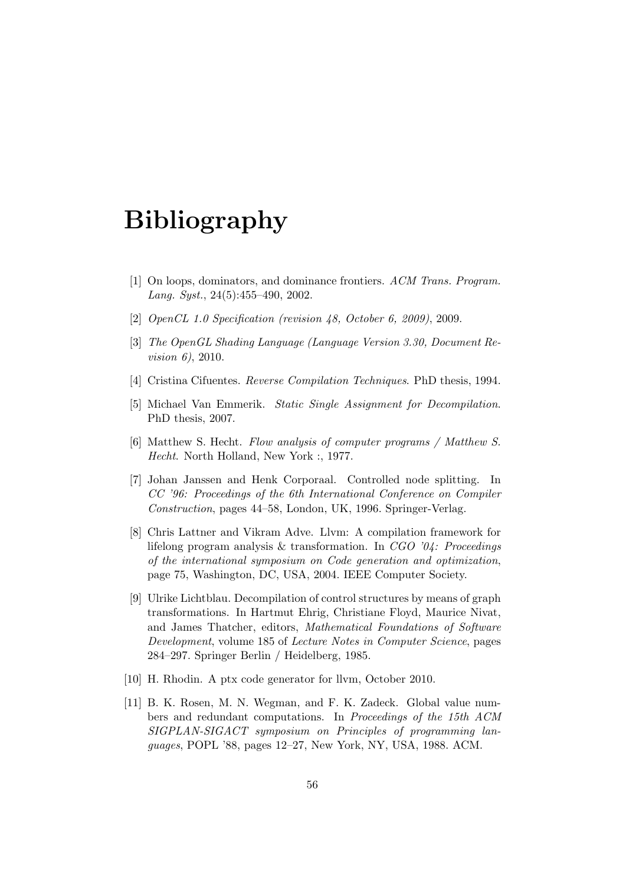# Bibliography

- [1] On loops, dominators, and dominance frontiers. ACM Trans. Program. Lang. Syst.,  $24(5):455-490$ ,  $2002$ .
- [2] *OpenCL 1.0 Specification (revision 48, October 6, 2009), 2009.*
- [3] The OpenGL Shading Language (Language Version 3.30, Document Revision 6), 2010.
- [4] Cristina Cifuentes. Reverse Compilation Techniques. PhD thesis, 1994.
- [5] Michael Van Emmerik. Static Single Assignment for Decompilation. PhD thesis, 2007.
- [6] Matthew S. Hecht. Flow analysis of computer programs / Matthew S. Hecht. North Holland, New York :, 1977.
- [7] Johan Janssen and Henk Corporaal. Controlled node splitting. In CC '96: Proceedings of the 6th International Conference on Compiler Construction, pages 44–58, London, UK, 1996. Springer-Verlag.
- [8] Chris Lattner and Vikram Adve. Llvm: A compilation framework for lifelong program analysis & transformation. In  $CGO$  '04: Proceedings of the international symposium on Code generation and optimization, page 75, Washington, DC, USA, 2004. IEEE Computer Society.
- [9] Ulrike Lichtblau. Decompilation of control structures by means of graph transformations. In Hartmut Ehrig, Christiane Floyd, Maurice Nivat, and James Thatcher, editors, Mathematical Foundations of Software Development, volume 185 of Lecture Notes in Computer Science, pages 284–297. Springer Berlin / Heidelberg, 1985.
- [10] H. Rhodin. A ptx code generator for llvm, October 2010.
- [11] B. K. Rosen, M. N. Wegman, and F. K. Zadeck. Global value numbers and redundant computations. In Proceedings of the 15th ACM SIGPLAN-SIGACT symposium on Principles of programming languages, POPL '88, pages 12–27, New York, NY, USA, 1988. ACM.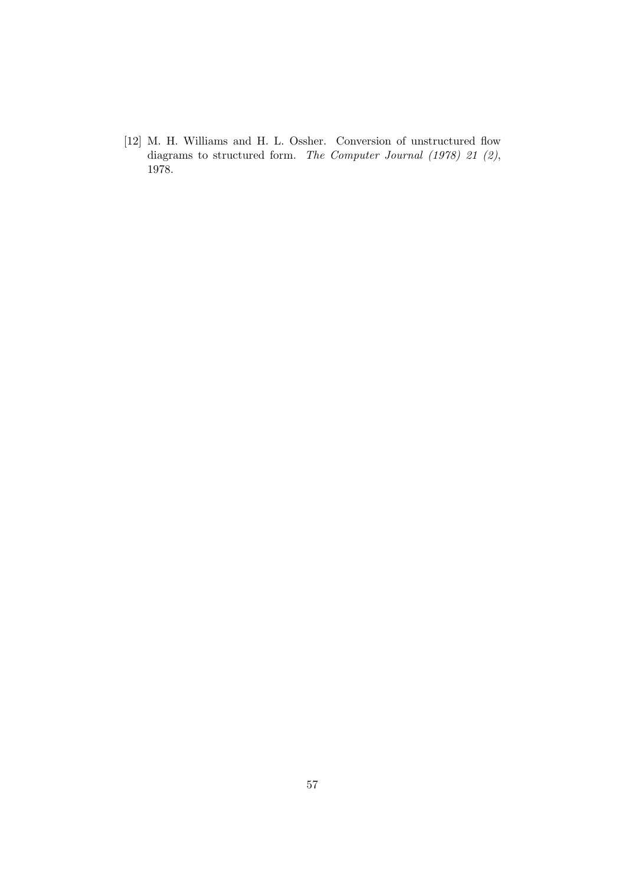[12] M. H. Williams and H. L. Ossher. Conversion of unstructured flow diagrams to structured form. The Computer Journal (1978) 21 (2), 1978.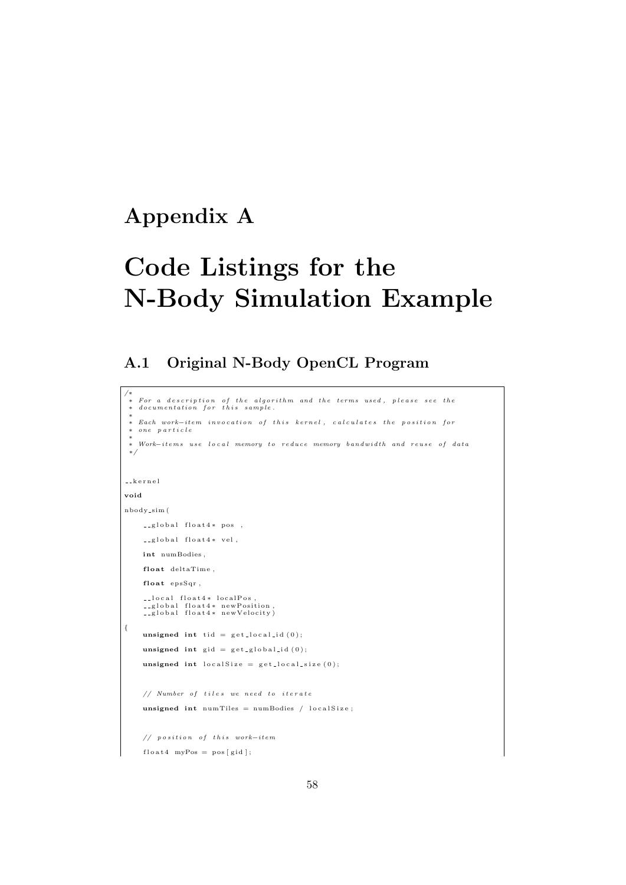## Appendix A

# Code Listings for the N-Body Simulation Example

## A.1 Original N-Body OpenCL Program

```
/* For a description of the algorithm and the terms used, please see the<br>* documentation for this sample.<br>*
 + Each work−item invocation of this kernel, calculates the position for
   one particle
 ∗
   Work—items use local memory to reduce memory bandwidth and reuse of data∗/
k e r n e l
void
nbody s im (
     \Boxglobal float4* pos,
    __global float4* vel,
    int numBodies,
    float deltaTime,
    float epsSqr,
       local float4* localPos,<br>global float4* newPosition,<br>global float4* newVelocity)
{
    unsigned int tid = get\_local\_id(0);unsigned int \text{gid} = \text{get\_global\_id}(0);unsigned int local Size = get\_local\_size(0);// Number of tiles we need to iterate
     unsigned int numTiles = numBodies / localSize;
     // position of this work-itemfloat4 myPos = pos[gid];
```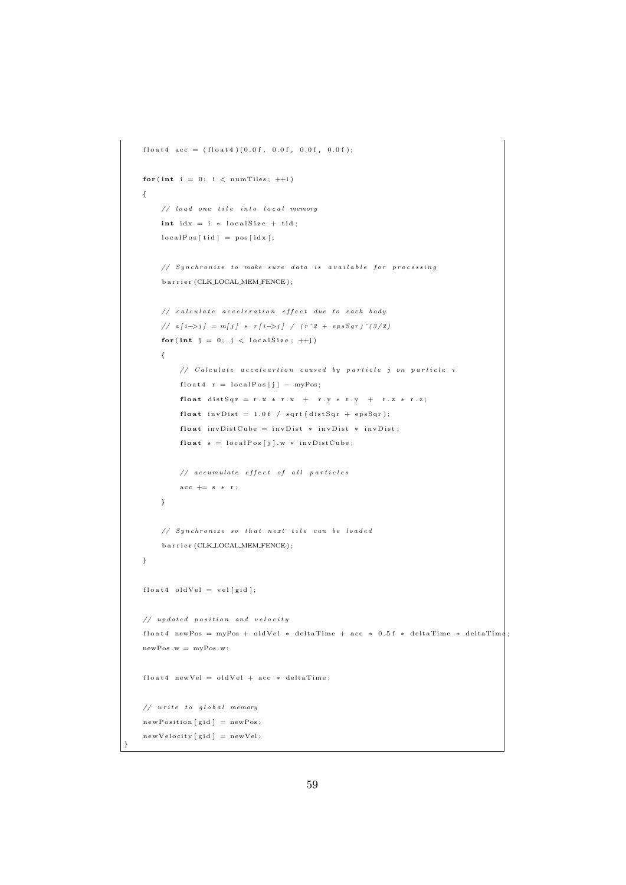```
float4 \; acc = (float4) (0.0 f, 0.0 f, 0.0 f, 0.0 f);for (int i = 0; i < num \text{Files}; ++i)
{
    // load one tile into local memory
    int idx = i * localSize + tid;localPos[tid] = pos[idx];// Synchronize to make sure data is available for processing
    b a r r i e r (CLK_LOCAL_MEM_FENCE) ;
    // calculate acceleration effect due to each body// a[i \rightarrow j] = m[j] * r[i \rightarrow j] / (r^2 + epsSqr)^2(3/2)for (int j = 0; j < local Size; ++j)
    {
        // Calculate acceleartion caused by particle j on particle i
        float4 r = localPos[j] - myPos;float distSqr = r.x * r.x + r.y * r.y + r.z * r.z;
        float invDist = 1.0 f / sqrt(distsqr + epsSqr);float invDistCube = invDist * invDist * invDist;float s = localPos[j].w * invDistCube;// accumulate effect of all particles
        acc += s * r;
    }
    // Synchronize so that next tile can be loaded
    b a r r i e r (CLK_LOCAL_MEM_FENCE) ;
}
float4 oldVel = vel [gid];
// \textit{updated position and velocity}float4 newPos = myPos + oldVel * deltaTime + acc * 0.5f * deltaTime * deltaTime;newPos.w = myPos.w;float4 newVel = oldVel + acc * deltaTime;
// write to global memory
newPosition [gid] = newPos;newVelocity [gid] = newVel;
```
}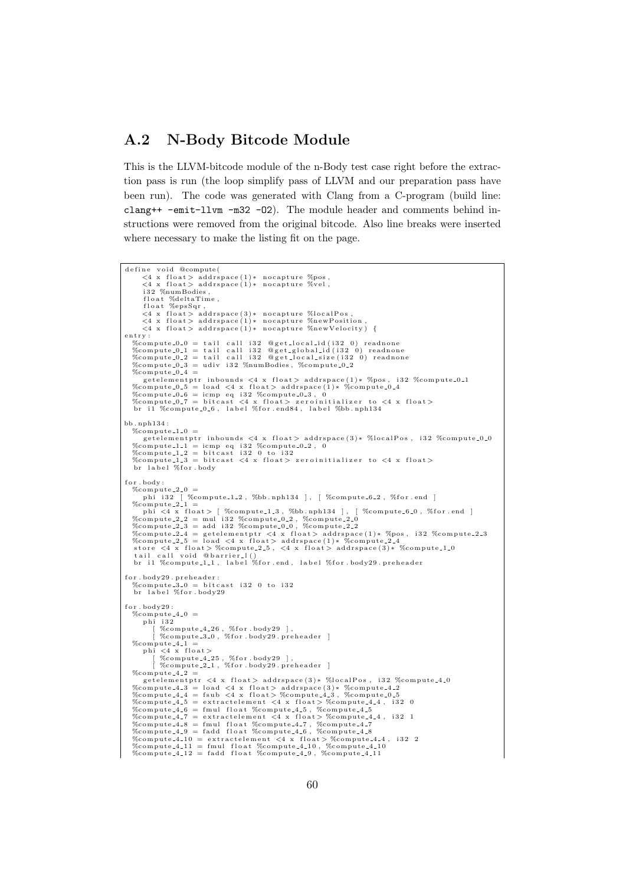## A.2 N-Body Bitcode Module

This is the LLVM-bitcode module of the n-Body test case right before the extraction pass is run (the loop simplify pass of LLVM and our preparation pass have been run). The code was generated with Clang from a C-program (build line: clang++ -emit-llvm -m32 -O2). The module header and comments behind instructions were removed from the original bitcode. Also line breaks were inserted where necessary to make the listing fit on the page.

```
define void @compute(
         <4 x float> addrspace(1)* nocapture %pos,<br>
<4 x float> addrspace(1)* nocapture %vel,
         i32 %numBodies,
         float %deltaTime,<br>{loat %epsSqr,<br><4 x float> addrspace(3)* nocapture %localPos,<br><4 x float> addrspace(1)* nocapture %newPosition,<br><4 x float> addrspace(1)* nocapture %newVelocity) {
e n t r y :
    %compute_0_0 = tail call i32 @get_local_id(i32 0) readnone<br>%compute_0_1 = tail call i32 @get_global_id(i32 0) readnone<br>%compute_0_2 = tail call i32 @get_local_size(i32 0) readnone
    %compute 0.3 = udiv i32 %numBodies, %compute 0.2
    %compute<sub>-0-4</sub> =
    getelementptr_inbounds <4 x_float>_addrspace(1)* %pos, i32 %compute_0_1<br>%compute_0_5 = load <4 x_float>_addrspace(1)* %compute_0_4<br>%compute_0_6 = icmp_eq_i32 %compute_0_3, 0<br>%compute_0_7 = bitcast <4 x_float>_zeroinitializ
    br il %compute 0.6, label %for end84, label %bb .nph134
hh nnh134 :
    %compute<sub>-1-0</sub>
    getelementptr_inbounds <4 x_float>_addrspace(3)* %localPos,_i32 %compute_0_0<br>%compute_1_1 =_icmp_eq_i32 %compute_0_2,_0<br>%compute_1_2 =_bitcast_i32 0_to_i32<br>%compute_1_3 =_bitcast_<4 x_float>_zeroinitializer_to_<4 x_float>_
    br label %for.body
for . body :
    %compute_2_0 =<br>phi i32 [ %compute_1_2, %bb.nph134 ], [ %compute_6_2, %for.end ]
    %compute.2.1 =<br>
phi <4 x float> [ %compute.1.3, %bb.nph134 ], [ %compute.6.0, %for.end ]<br>
%compute.2.2 = mul i32 %compute.0.2, %compute.2.0<br>
%compute.2.3 = add i32 %compute.0.0, %compute.2.2<br>
%compute.2.5 = load <4 x float
     tail call void @barrier_l()<br>br i1 %compute_1_1, label %for.end, label %for.body29.preheader
{\tt for} . {\tt body29} . {\tt preheader} :
    \%compute 3.0 = bitcast i 32 0 to i 32<br>br label \%for body 29
for . body29:%compute -4 - 0 =phi i32
              [ %compute_4_26 , %for .body29 ],<br>[ %compute_3_0 , %for .body29 .preheader ]
    %compute -4 -1phi <4 x float><br>| %compute_4_25 , %for .body29 ],<br>| %compute_2_1 , %for .body29 .preheader ]
    % compute_4_2 =getelementptr <4 x float> addrspace(3)* %localPos, i32 %compute_4_0<br>%compute_4_3 = load <4 x float> addrspace(3)* %compute_4_2<br>%compute_4_4 = fsub <4 x float> %compute_4_3, %compute_0_5<br>%compute_4_5 = extractelement <4 x f
    %compute_4_8 = fmul float %compute_4_7, %compute_4_7<br>%compute_4_9 = fadd float %compute_4_6, %compute_4_8
    %compute_4_10 = extractelement <4 x float>%compute_4_4,i32 2<br>%compute_4_11 = fmul float %compute_4_10, %compute_4_10
    \%compute 4.10 = extractement \leq x noat > wompute 4.10, \%compute 4.11<br>\%compute 4.11 = fmul float \%compute 4.10, \%compute 4.11
```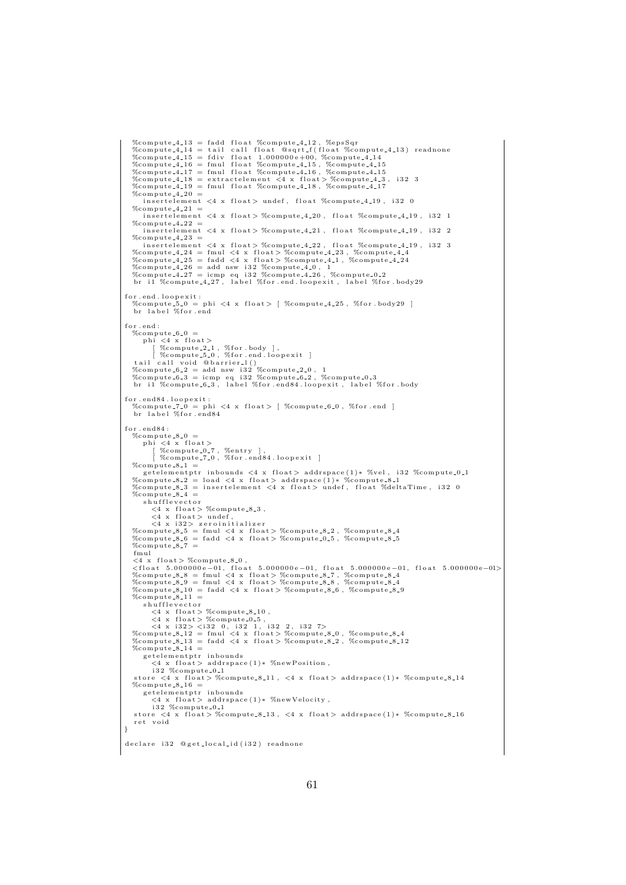```
% compute = 4 - 13 = fadd float % compute = 4 - 12, % epsSqr%compute_4_14 = tail call float @sqrt_f(float %compute_4_13) readnone<br>%compute_4_15 = fdiv float 1.000000e+00, %compute_4_14
    %compute_4_16 = fmul float %compute_4_15, %compute_4_15<br>%compute_4_17 = fmul float %compute_4_16, %compute_4_15
    %compute 4-18 = extractelement \langle 4 \times \text{float} \rangle %compute 4-3, i32 3
    % compute 4-19 = full float % compute 4-18, % compute 4-17%compute -4-20 =
        \frac{1}{2} insertelement \langle 4 \times \text{float}\rangle undef, float %compute_4_19, i32 0
   %compute -4-21 :
       i n s e r t e l e m e n t <4 x f l o a t > %comput e 4 20 , f l o a t %comput e 4 19 , i 3 2 1
   % compute_4 = 22\frac{1}{2} insertelement \langle 4 \times \text{float}} \rangle %compute 4.21, float %compute 4.19, i32 2
   %compute -4 - 23 =insertelement <4 x float> %compute_4_22, float %compute_4_19, i32 3<br>%compute_4_24 = fmul <4 x float> %compute_4_23, %compute_4_4<br>%compute_4_25 = fadd <4 x float> %compute_4_1, %compute_4_24
    %compute_4_26 = add nsw i32 %compute_4_0, 1<br>%compute_4_27 = icmp eq i32 %compute_4_26 , %compute_0_2<br>br i1 %compute_4_27, label %for.end.loopexit, label %for.body29
 for.end.loopexit:<br>"%compute_5_0 = phi <4 x float> [ %compute_4_25, %for.body29 ]
    br label %for.end
for end:\% compute \_6\_0phi \lt4 x float ><br>[ \%compute_2_1, \%for.body ],
    [ %compute_5_0, %for.end.loopexit ]<br>tail call void @barrier_1()<br>%compute_6_2 = add nsw i32 %compute_2_0, 1<br>%compute_6_3 = icmp eq i32 %compute_6_2, %compute_0_3<br>br il %compute_6_3, label %for.end84.loopexit, label %for.bod
for . end 84. lo o p exit :%compute_7_0 = phi <4 x float > [ %compute_6_0, %for.end ] br label %for.end84
for . end 84:
    %compute_8_0 =
        phi <4 x float><br>| %compute_0_7, %entry ],<br>| %compute_7_0, %for.end84.loopexit ]
   %compute -8-1 =
        getelementptr inbounds \langle 4 \times \text{float}\rangle addrspace(1)* %vel, i32 %compute 0.1
    %compute_8_2 = load <4 x float> addrspace(1)* %compute_8_1<br>%compute_8_3 = insertelement <4 x float> undef, float %deltaTime, i32 0
   %compute - 8 - 4 =
        shuffleveret<4 x float> %compute_8_3,<br>
<4 x float> undef,<br>
<4 x i32> zeroinitializer<br>
%compute_8_5 = fmul <4 x float> %compute_8_2, %compute_8_4<br>%compute_8_6 = fadd <4 x float> %compute_0_5, %compute_8_5
    % compute_87fmul
    <4 x float > %compute_8_0,<br>
<float 5.000000e-01, float 5.000000e-01, float 5.000000e-01, float 5.000000e-01><br>
%compute_8.8 = fmul <4 x float > %compute_8_7, %compute_8_4<br>%compute_8_9 = fmul <4 x float > %compute_8_8, %com
    \%compute_8_11 =<br>shufflevector
    \langle 4 \times \text{float}} \rangle %compute_8.10,<br>
\langle 4 \times \text{float}} \rangle %compute_0.5,<br>
\langle 4 \times \text{ i}32 \times \langle \text{ i}32 \rangle (, i32 1, i32 7)<br>%compute_8.12 = fmul \langle 4 \times \text{ float}} \rangle %compute_8.0, %compute_8.4<br>%compute_8.13 = fadd \langle 4 \times \text{ float}} \rangle %compute_8.
   % compute_8 = 14 =getelementptr inbounds<br>
<4 x float> addrspace(1)* %newPosition,<br>
i32 %compute_0_1
                         float > %compute_8_11, <4 x float > adding 200 * %compute 8.14
   % \begin{array}{lcl} \text{store} < 4 \times \text{float} \\ \text{\%compute=8.16} &=& \end{array}getelementptr inbounds
           \langle 4 \times \text{float} \rangle addrspace(1)* %newVelocity,
     i 32 %compute_0_1<br>store <4 x float> %compute_8_13, <4 x float> addrspace(1)* %compute_8_16
    ret void
}
declare i 32 @ g et_local_id (i 32) readnone
```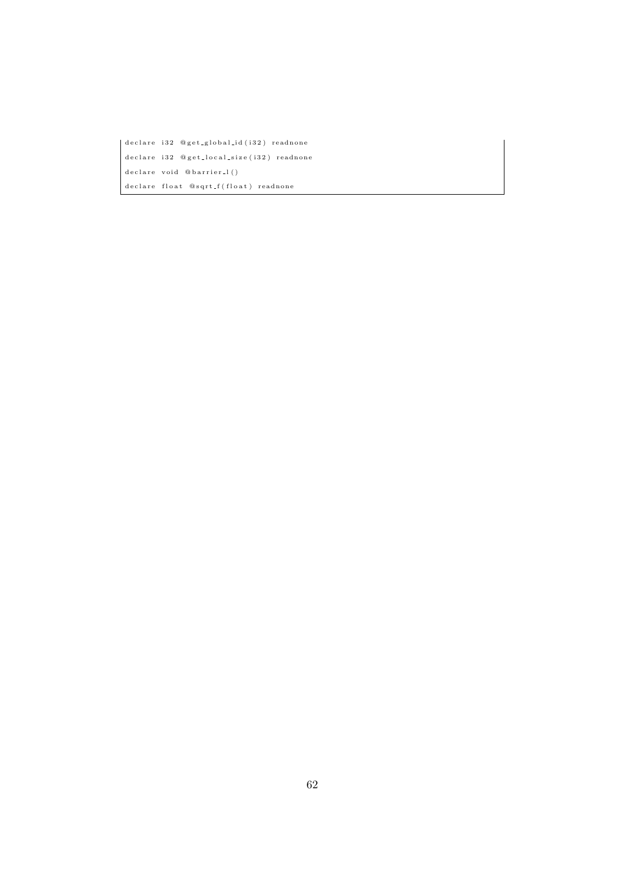$\vert$  declare i 32 @ g et\_g l o bal\_id (i 32) readnone declare i 32 @ g et\_local\_size (i 32) readnone  $declace$  void @barrier\_l() de clare float  $@sqrt\_f(f|$ oat) readnone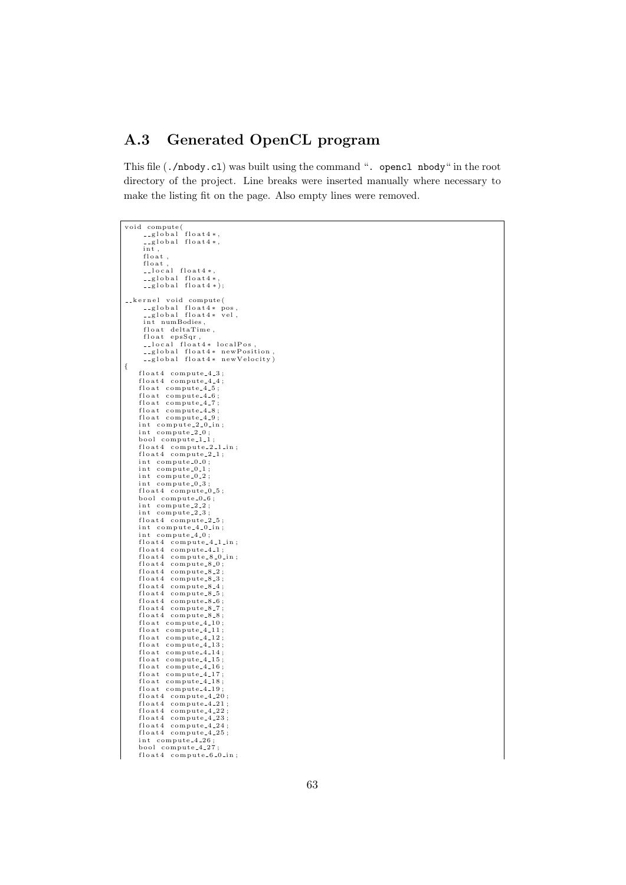## A.3 Generated OpenCL program

This file (./nbody.cl) was built using the command ". opencl nbody" in the root directory of the project. Line breaks were inserted manually where necessary to make the listing fit on the page. Also empty lines were removed.

```
void compute(
                global float4*,<br>global float4*,
           int ,<br>float ,<br>float ,
                local float4*,<br>global float4*,<br>global float4*);
     kernel void compute(<br>|-global float4* pos,<br>|-global float4* vel,
          int numBodies,
           float deltaTime,<br>float epsSqr,<br>__local float4* localPos,<br>__global float4* newPosition,<br>__global float4* newVelocity)
{
         float4 compute_4_3;<br>float4 compute_4_4;
         float compute_4_5;<br>float compute_4_6;
         float compute_4_7;<br>float compute_4_8;
        float compute_4_9;<br>int compute_2_0_in;<br>int compute_2_0;
        bool compute_1_1;<br>float4 compute_2_1_in;<br>float4 compute_2_1;
        int compute 0.0:
        int compute 0.1;
        int compute_0_2;<br>int compute_0_3;
        float4 compute_0_5;<br>bool compute_0_6;
        int compute 2.2int compute 2-3float4 compute_2_5;<br>int compute_4_0_in;<br>int compute_4_0;
         float4 compute_4_1_in;<br>float4 compute_4_1;
        float4 compute 8-0 in;
         float4 compute_8_0;<br>float4 compute_8_2;<br>float4 compute_8_3;
         float4 compute_8_4;<br>float4 compute_8_5;<br>float4 compute_8_6;
         float4 compute_8_7;<br>float compute_8_8;<br>float compute_4_10;<br>float compute_4_11;<br>float compute_4_12;
         float compute_4_13;<br>float compute_4_14;
         float compute_4_15;<br>float compute_4_16;
        float \text{compute}_-4\_17;
         float compute_4_18;<br>float compute_4_19;<br>float4 compute_4_21;<br>float4 compute_4_22;<br>float4 compute_4_23;<br>float4 compute_4_23;
        float4 compute_4_25;<br>int compute_4_26;<br>bool compute_4_27;
```

```
float4 compute 6-0 in;
```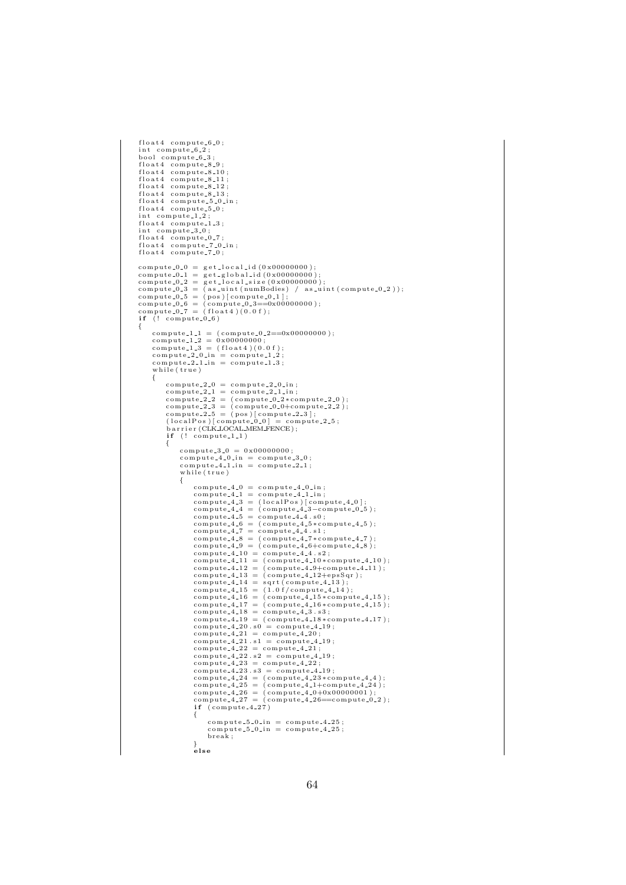```
float4 compute 6-0:
 int compute_6_2;<br>bool compute_6_3;
 float4 compute_8_9;<br>float4 compute_8_10;<br>float4 compute_8_11;
 float4 compute_8_12;<br>float4 compute_8_13;<br>float4 compute_5_0_in;<br>float4 compute_5_0;
int compute 1 - 2:
 float4 compute_1_3;<br>int compute_3_0;
 float4 compute_0_7;<br>float4 compute_7_0_in;<br>float4 compute_7_0;
 \begin{array}{ll} \text{compute\_0.0 = get\_local_id(0x0000000)}; \\ \text{compute\_0.1 = get\_global_id(0x00000000)}; \\ \text{compute\_0.2 = get\_local_size(0x000000000)}; \\ \text{compute\_0.3 = (as\_uint(numBodies) / as\_uint(compute\_0.2)}); \\ \text{compute\_0.5 = (pos)[compute\_0.1];} \\ \text{compute\_0.6 = (compute\_0.3 == 0x00000000)}; \\ \text{compute\_0.7 = (float4)(0.0 f)}; \end{array}if (! compute.0.6){
             \text{compute\_1\_1 = } (\text{compute\_0\_2==0x0000000}); \ \text{compute\_1\_2 = } 0x00000000; \ \text{compute\_1\_3 = } (\text{float4})(0.0 \text{ f});\texttt{compute\_2\_0.in} = \texttt{compute\_1\_2}; \\ \texttt{compute\_2\_1\_in} = \texttt{compute\_1\_3};while (true){
                          \begin{array}{lll} \text{compute\_2\_0 =} & \text{compute\_2\_0\_in} \, ; \ \text{compute\_2\_1 =} & \text{compute\_2\_1\_in} \, ; \ \text{compute\_2\_2 =} & \text{(compute\_0\_2 * compute\_2\_0)} \, ; \end{array}compute 22.3 = (compute 0.0+compute 22.2);<br>compute 22.5 = (pos)[compute 22.3];<br>(localPos)[compute 0.0]= compute 22.5;<br>barrier (CLK LOCAL MEM FENCE);
                         if (! compute_1_1){
                                      compute 3.0 = 0x00000000;<br>compute 4.0.in = compute 3.0;<br>compute 4.1.in = compute 2.1;<br>while (true)
                                     {
                                                  compute 4.0 = compute 4.0 \text{ in };<br>compute 4.1 = compute 4.1 \text{ in };<br>compute 4.3 = (localPos) [com
                                                   \begin{array}{l} \text{compute\_4.1 = compute\_4.1.in}\;;\\ \text{compute\_4.3 = (localPos)[compute\_4.0];}\\ \text{compute\_4.4 = (compute\_4.3 - compute\_0.5)}\;;\\ \text{compute\_4.5 = compute\_4.4 \cdot s0};\\ \text{compute\_4.6 = (compute\_4.5 * compute\_4.5)}\;;\\ \text{compute\_4.7 = compute\_4.4 \cdot s1};\\ \text{compute\_4.8 = (compute\_4.7 * compute\_4.7)}\;;\\ \text{compute\_4.9 = (compute\_4.7 * compute\_4.8)}\;; \end{array}compute_4_10 = compute_4_4 .s2;<br>compute_4_11 = (compute_4_10*compute_4_10);
                                                   \texttt{compute\_4\_12} = (\texttt{compute\_4\_9}+\texttt{compute\_4\_11});<br>\texttt{compute\_4\_13} = (\texttt{compute\_4\_12}+\texttt{epsSqr});\text{compute\_4\_14} = \text{sqrt}(\text{compute\_4\_13});<br>
\text{compute\_4\_15} = (1.0 \text{ f}/\text{compute\_4\_14});\texttt{compute\_4\_16} = (\texttt{compute\_4\_15*compute\_4\_15}); \ \texttt{compute\_4\_17} = (\texttt{compute\_4\_16*compute\_4\_15});\texttt{compute\_4\_18} = \texttt{compute\_4\_3} \cdot \texttt{s3};<br>\texttt{compute\_4\_19} = (\texttt{compute\_4\_18} * \texttt{compute\_4\_17});
                                                   compute_4_20.s0 = compute_4_19;<br>compute_4_21 = compute_4_20;<br>compute_4_21.s1 = compute_4_19;
                                                   \begin{array}{rl} \text{compute\_4.22 = compute\_4.21;} \ \text{compute\_4.22 = compute\_4.21}; \ \text{compute\_4.23 = compute\_4.23}; \ \text{compute\_4.23 = compute\_4.22}; \ \text{compute\_4.23 = compute\_4.24}; \ \text{compute\_4.24 = (compute\_4.23 * compute\_4.24}); \ \text{compute\_4.25 = (compute\_4.1 + compute\_4.24}); \ \text{compute\_4.26 = (compute\_4.0 + 00 * 00 000 01}); \ \text{compute\_4.27 = (compute\_4.26 == compute\_0.22)}; \end{array}if (compute_4_27){
                                                                \texttt{compute\_5\_0\_in} = \texttt{compute\_4\_25}; \ \texttt{compute\_5\_0\_in} = \texttt{compute\_4\_25};br eak ;
                                                  }<br>else
```